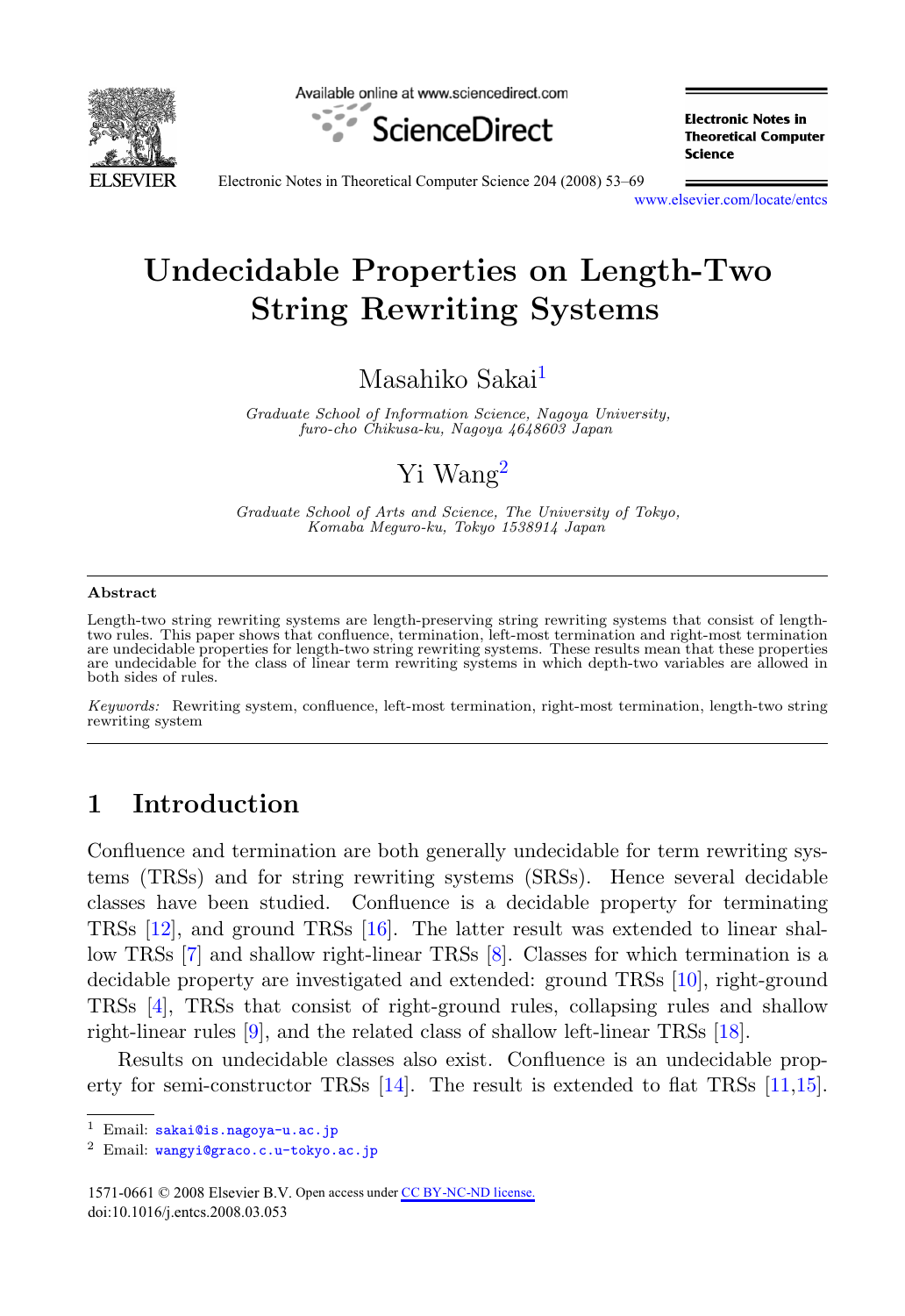

Available online at www.sciencedirect.com



**Electronic Notes in Theoretical Computer** Science

Electronic Notes in Theoretical Computer Science 204 (2008) 53–69

[www.elsevier.com/locate/entcs](http://www.elsevier.com/locate/entcs)

# **Undecidable Properties on Length-Two String Rewriting Systems**

# Masahiko Sakai<sup>1</sup>

Graduate School of Information Science, Nagoya University, furo-cho Chikusa-ku, Nagoya 4648603 Japan

# Yi Wang<sup>2</sup>

Graduate School of Arts and Science, The University of Tokyo, Komaba Meguro-ku, Tokyo 1538914 Japan

#### **Abstract**

Length-two string rewriting systems are length-preserving string rewriting systems that consist of lengthtwo rules. This paper shows that confluence, termination, left-most termination and right-most termination are undecidable properties for length-two string rewriting systems. These results mean that these properties are undecidable for the class of linear term rewriting systems in which depth-two variables are allowed in both sides of rules.

Keywords: Rewriting system, confluence, left-most termination, right-most termination, length-two string rewriting system

# **1 Introduction**

Confluence and termination are both generally undecidable for term rewriting systems (TRSs) and for string rewriting systems (SRSs). Hence several decidable classes have been studied. Confluence is a decidable property for terminating TRSs [\[12\]](#page-16-0), and ground TRSs [\[16\]](#page-16-0). The latter result was extended to linear shallow TRSs [\[7\]](#page-15-0) and shallow right-linear TRSs [\[8\]](#page-15-0). Classes for which termination is a decidable property are investigated and extended: ground TRSs [\[10\]](#page-16-0), right-ground TRSs [\[4\]](#page-15-0), TRSs that consist of right-ground rules, collapsing rules and shallow right-linear rules [\[9\]](#page-15-0), and the related class of shallow left-linear TRSs [\[18\]](#page-16-0).

Results on undecidable classes also exist. Confluence is an undecidable property for semi-constructor TRSs [\[14\]](#page-16-0). The result is extended to flat TRSs [\[11,15\]](#page-16-0).

1571-0661 © 2008 Elsevier B.V. Open access under [CC BY-NC-ND license](http://creativecommons.org/licenses/by-nc-nd/3.0/).doi:10.1016/j.entcs.2008.03.053

<sup>&</sup>lt;sup>1</sup> Email: [sakai@is.nagoya-u.ac.jp](mailto:wangyi@graco.c.u-tokyo.ac.jp)<br><sup>2</sup> Email: wangyi@graco.c.u-tokyo.ac.jp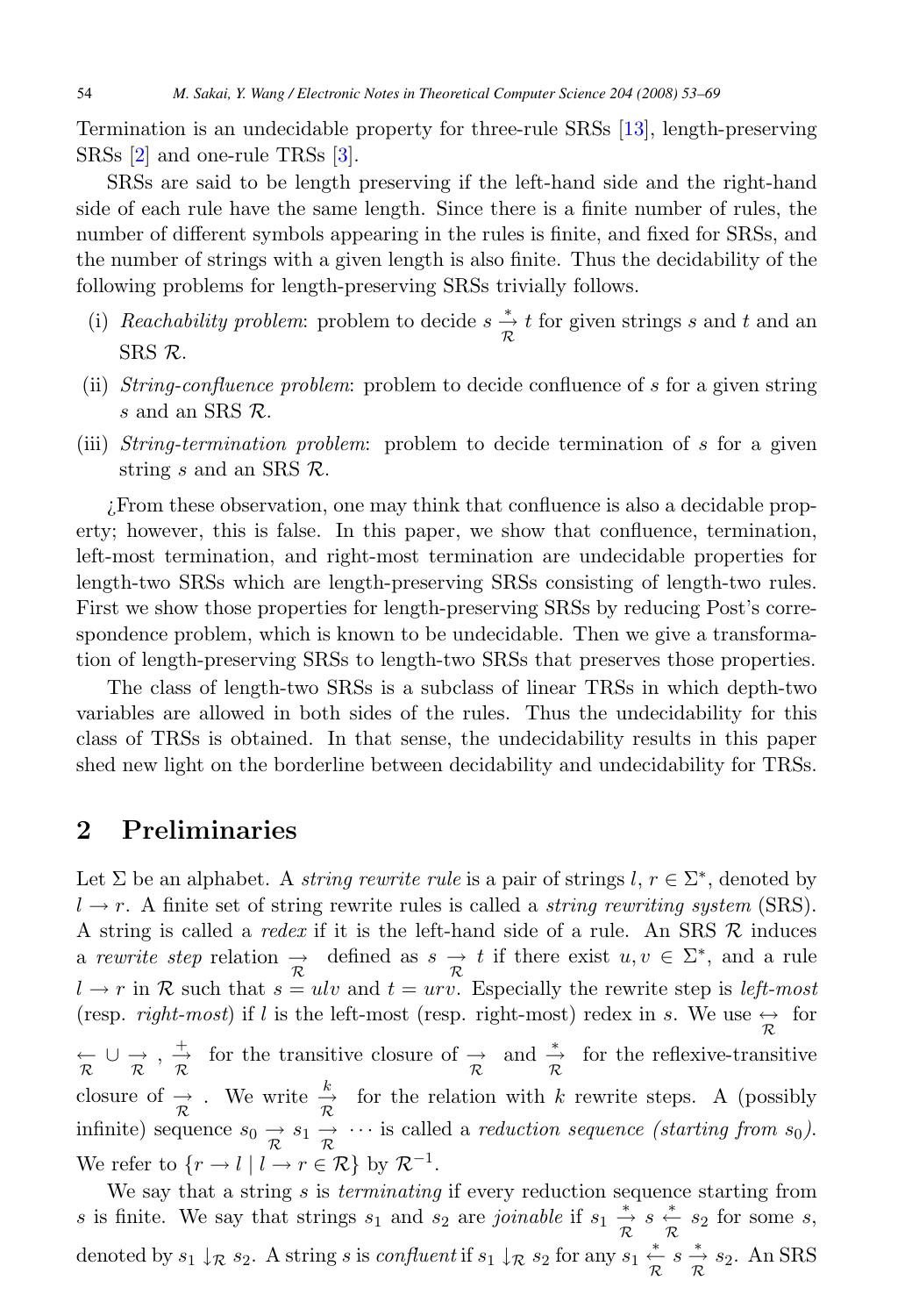Termination is an undecidable property for three-rule SRSs [\[13\]](#page-16-0), length-preserving SRSs [\[2\]](#page-15-0) and one-rule TRSs [\[3\]](#page-15-0).

SRSs are said to be length preserving if the left-hand side and the right-hand side of each rule have the same length. Since there is a finite number of rules, the number of different symbols appearing in the rules is finite, and fixed for SRSs, and the number of strings with a given length is also finite. Thus the decidability of the following problems for length-preserving SRSs trivially follows.

- (i) Reachability problem: problem to decide  $s \frac{*}{\mathcal{R}} t$  for given strings s and t and an SRS R.
- (ii) String-confluence problem: problem to decide confluence of s for a given string s and an SRS  $\mathcal{R}$ .
- (iii) String-termination problem: problem to decide termination of s for a given string s and an SRS  $\mathcal{R}$ .

¿From these observation, one may think that confluence is also a decidable property; however, this is false. In this paper, we show that confluence, termination, left-most termination, and right-most termination are undecidable properties for length-two SRSs which are length-preserving SRSs consisting of length-two rules. First we show those properties for length-preserving SRSs by reducing Post's correspondence problem, which is known to be undecidable. Then we give a transformation of length-preserving SRSs to length-two SRSs that preserves those properties.

The class of length-two SRSs is a subclass of linear TRSs in which depth-two variables are allowed in both sides of the rules. Thus the undecidability for this class of TRSs is obtained. In that sense, the undecidability results in this paper shed new light on the borderline between decidability and undecidability for TRSs.

### **2 Preliminaries**

Let  $\Sigma$  be an alphabet. A *string rewrite rule* is a pair of strings  $l, r \in \Sigma^*$ , denoted by  $l \rightarrow r$ . A finite set of string rewrite rules is called a *string rewriting system* (SRS). A string is called a *redex* if it is the left-hand side of a rule. An SRS  $R$  induces a rewrite step relation  $\rightarrow \frac{\pi}{\pi}$  defined as  $s \rightarrow t$  if there exist  $u, v \in \Sigma^*$ , and a rule  $l \rightarrow r$  in R such that  $s = ulv$  and  $t = urv$ . Especially the rewrite step is *left-most* (resp. *right-most*) if l is the left-most (resp. right-most) redex in s. We use  $\leftrightarrow \atop{\mathcal{R}}$  $\overline{\mathcal{R}} \cup \overrightarrow{\mathcal{R}}$ ,  $\overrightarrow{\mathcal{R}}$  for the transitive closure of  $\overrightarrow{\mathcal{R}}$  and  $\overrightarrow{\mathcal{R}}$  for the reflexive-transitive closure of  $\frac{\rightarrow}{\mathcal{R}}$ . We write  $\frac{k}{\mathcal{R}}$  $\frac{k}{\mathcal{R}}$  for the relation with k rewrite steps. A (possibly infinite) sequence  $s_0 \rightarrow s_1 \rightarrow \cdots$  is called a *reduction sequence (starting from s<sub>0</sub>)*. We refer to  $\{r \to l \mid l \to r \in \mathcal{R}\}$  by  $\mathcal{R}^{-1}$ .

We say that a string  $s$  is *terminating* if every reduction sequence starting from s is finite. We say that strings  $s_1$  and  $s_2$  are joinable if  $s_1 \stackrel{*}{\underset{\mathcal{R}}{\rightarrow}} s \stackrel{*}{\underset{\mathcal{R}}{\leftarrow}} s_2$  for some s, denoted by  $s_1 \downarrow_{\mathcal{R}} s_2$ . A string s is *confluent* if  $s_1 \downarrow_{\mathcal{R}} s_2$  for any  $s_1 \stackrel{*}{\underset{\mathcal{R}}{\leftarrow}} s \stackrel{*}{\underset{\mathcal{R}}{\rightarrow}} s_2$ . An SRS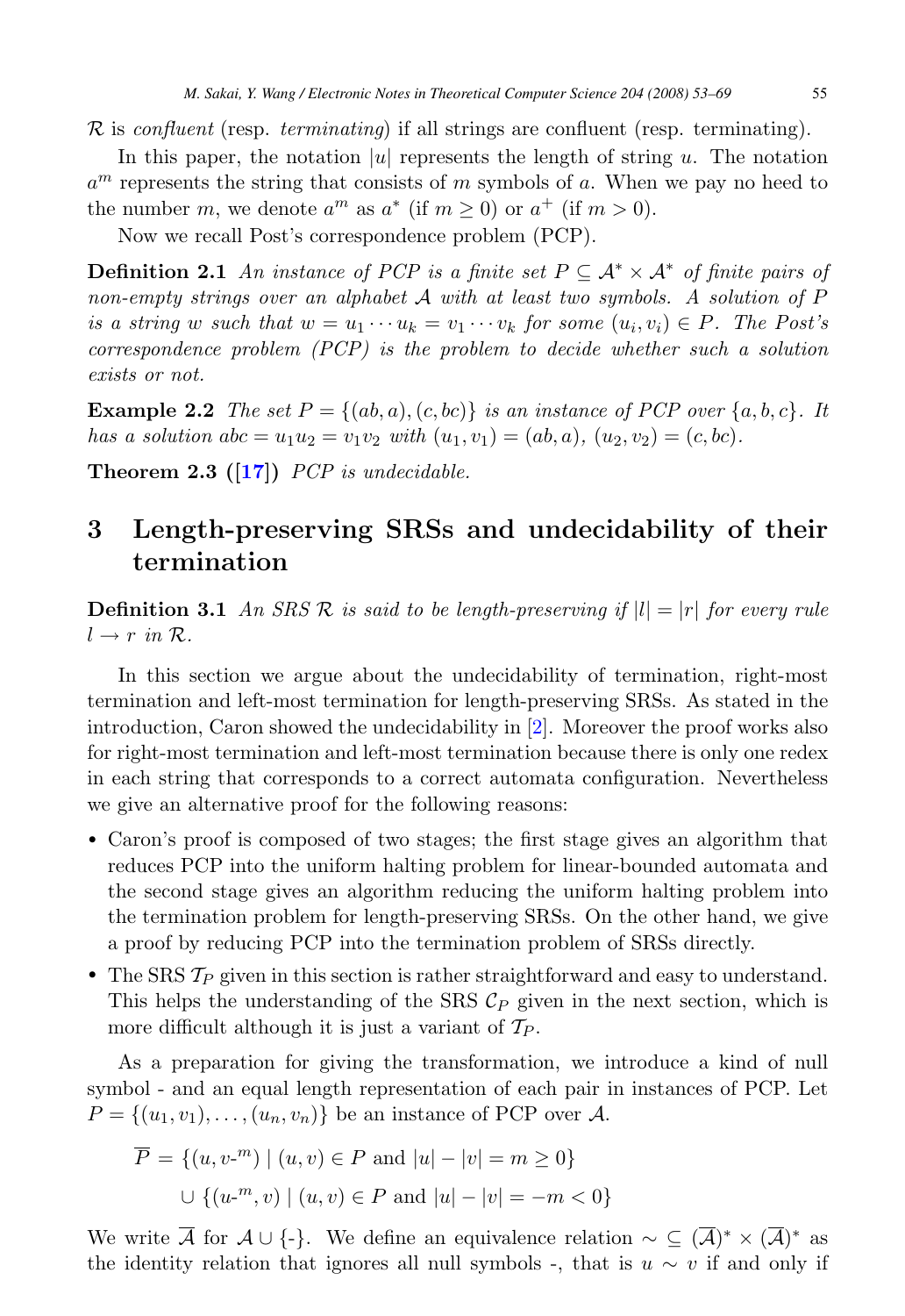<span id="page-2-0"></span> $\mathcal R$  is confluent (resp. terminating) if all strings are confluent (resp. terminating).

In this paper, the notation |u| represents the length of string  $u$ . The notation  $a^m$  represents the string that consists of m symbols of a. When we pay no heed to the number m, we denote  $a^m$  as  $a^*$  (if  $m > 0$ ) or  $a^+$  (if  $m > 0$ ).

Now we recall Post's correspondence problem (PCP).

**Definition 2.1** An instance of PCP is a finite set  $P \subseteq A^* \times A^*$  of finite pairs of non-empty strings over an alphabet <sup>A</sup> with at least two symbols. A solution of <sup>P</sup> is a string w such that  $w = u_1 \cdots u_k = v_1 \cdots v_k$  for some  $(u_i, v_i) \in P$ . The Post's correspondence problem (PCP) is the problem to decide whether such a solution exists or not.

**Example 2.2** The set  $P = \{(ab, a), (c, bc)\}\$ is an instance of PCP over  $\{a, b, c\}$ . It has a solution  $abc = u_1u_2 = v_1v_2$  with  $(u_1, v_1) = (ab, a), (u_2, v_2) = (c, bc).$ 

**Theorem 2.3 ([\[17\]](#page-16-0))** PCP is undecidable.

## **3 Length-preserving SRSs and undecidability of their termination**

**Definition 3.1** An SRS R is said to be length-preserving if  $|l| = |r|$  for every rule  $l \rightarrow r$  in  $\mathcal{R}$ .

In this section we argue about the undecidability of termination, right-most termination and left-most termination for length-preserving SRSs. As stated in the introduction, Caron showed the undecidability in [\[2\]](#page-15-0). Moreover the proof works also for right-most termination and left-most termination because there is only one redex in each string that corresponds to a correct automata configuration. Nevertheless we give an alternative proof for the following reasons:

- Caron's proof is composed of two stages; the first stage gives an algorithm that reduces PCP into the uniform halting problem for linear-bounded automata and the second stage gives an algorithm reducing the uniform halting problem into the termination problem for length-preserving SRSs. On the other hand, we give a proof by reducing PCP into the termination problem of SRSs directly.
- The SRS  $\mathcal{T}_P$  given in this section is rather straightforward and easy to understand. This helps the understanding of the SRS  $\mathcal{C}_P$  given in the next section, which is more difficult although it is just a variant of  $\mathcal{T}_P$ .

As a preparation for giving the transformation, we introduce a kind of null symbol - and an equal length representation of each pair in instances of PCP. Let  $P = \{(u_1, v_1), \ldots, (u_n, v_n)\}\$ be an instance of PCP over A.

$$
\overline{P} = \{(u, v^{-m}) \mid (u, v) \in P \text{ and } |u| - |v| = m \ge 0\}
$$
  

$$
\cup \{(u^{-m}, v) \mid (u, v) \in P \text{ and } |u| - |v| = -m < 0\}
$$

We write  $\overline{A}$  for  $A\cup\{-\}$ . We define an equivalence relation  $\sim\subseteq (\overline{A})^*\times (\overline{A})^*$  as the identity relation that ignores all null symbols -, that is  $u \sim v$  if and only if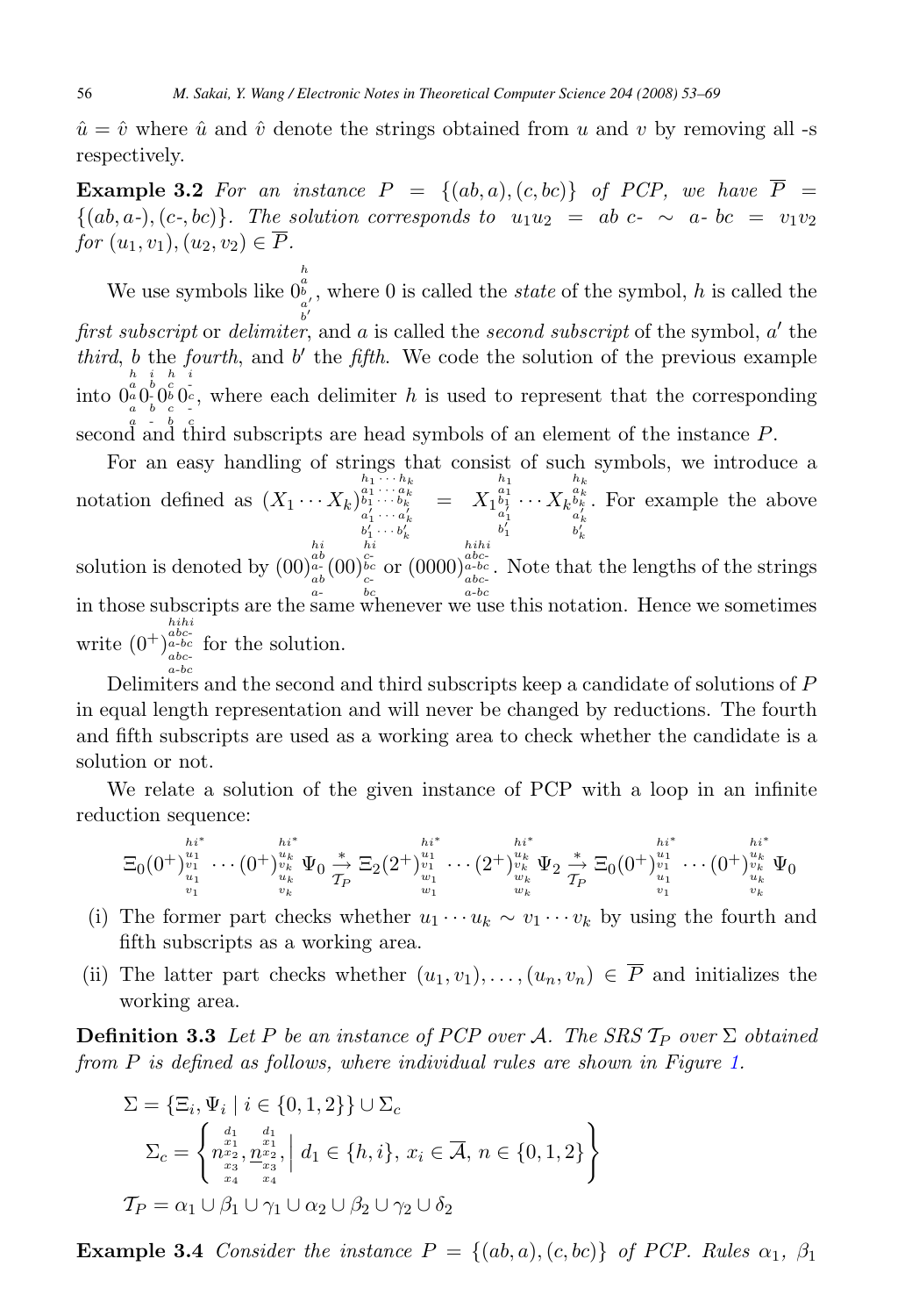<span id="page-3-0"></span> $\hat{u} = \hat{v}$  where  $\hat{u}$  and  $\hat{v}$  denote the strings obtained from u and v by removing all -s respectively.

**Example 3.2** For an instance  $P = \{(ab, a), (c, bc)\}\$  of PCP, we have  $\overline{P}$  =  $\{(ab,a-),(c-,bc)\}.$  The solution corresponds to  $u_1u_2 = ab \nc - \sim a-bc = v_1v_2$ for  $(u_1, v_1), (u_2, v_2) \in \overline{P}$ .

We use symbols like 0  $\begin{matrix} h\ a\ b\ a'\ b'\end{matrix}$ , where  $0$  is called the *state* of the symbol,  $h$  is called the first subscript or delimiter, and a is called the second subscript of the symbol,  $a'$  the third, b the fourth, and  $b'$  the fifth. We code the solution of the previous example into  $0^a_a 0^b_c 0^c_b 0^c_c$ h second and third subscripts are head symbols of an element of the instance  $P$ . i h i  $\frac{1}{c}$ , where each delimiter h is used to represent that the corresponding

For an easy handling of strings that consist of such symbols, we introduce a notation defined as  $(X_1 \cdots X_k)_{\substack{a_1 \cdots a_k \\ a'_1 \cdots a'_k \\ b'_1 \cdots b'_k}}^{h_1 \cdots h_k}$  $=\; \; X_1{}^{{\scriptstyle{{b_1}} \atop{\scriptstyle{b_1}}}}_{{\scriptstyle{{a_1}} \atop{b'_1}}^{{\scriptstyle{{b_1}}}}}}$  $\cdots X_k^{\frac{a_k}{a_k'}}_{\frac{a'_k}{b'_k}}$ . For example the above solution is denoted by (00)  $\frac{a b}{a b}}_a(00)$ in those subscripts are the same whenever we use this notation. Hence we sometimes  $\frac{\overline{hi}}{c}$  or  $(0000)$  $\frac{abc}{a_{abc}}$ . Note that the lengths of the strings

write  $(0^+)$  $h_{abc}^{abc}$ <br>  $a_{abc}^{abc}$  for the solution. a-bc

Delimiters and the second and third subscripts keep a candidate of solutions of P in equal length representation and will never be changed by reductions. The fourth and fifth subscripts are used as a working area to check whether the candidate is a solution or not.

We relate a solution of the given instance of PCP with a loop in an infinite reduction sequence:

$$
\Xi_0(0^+)^{u_1^*}_{\substack{v_1\\u_1\\v_1}}\cdots(0^+)^{u_k^*}_{\substack{v_k\\u_k}}\Psi_0\overset{*}{\underset{\substack{\to\\v_k\\v_k}}\right\}\Xi_2(2^+)^{u_1^*}_{\substack{v_1\\v_1\\w_1}}\cdots(2^+)^{u_k^*}_{\substack{v_k\\v_k\\w_k}}\Psi_2\overset{*}{\underset{\substack{\to\\v_k\\v_k}}\right\}\Xi_0(0^+)^{u_1^*}_{\substack{v_1\\v_1\\v_1}}\cdots(0^+)^{u_k^*}_{\substack{v_k\\v_k}}\Psi_0
$$

- (i) The former part checks whether  $u_1 \cdots u_k \sim v_1 \cdots v_k$  by using the fourth and fifth subscripts as a working area.
- (ii) The latter part checks whether  $(u_1, v_1), \ldots, (u_n, v_n) \in \overline{P}$  and initializes the working area.

**Definition 3.3** Let P be an instance of PCP over A. The SRS  $\mathcal{T}_P$  over  $\Sigma$  obtained from P is defined as follows, where individual rules are shown in Figure [1.](#page-4-0)

$$
\Sigma = \{\Xi_i, \Psi_i \mid i \in \{0, 1, 2\}\} \cup \Sigma_c
$$
\n
$$
\Sigma_c = \begin{cases}\n\begin{matrix}\n\begin{array}{c}\nd_1 & d_1 \\
n^{x_1} & \frac{x_1}{x_1} \\
n^{x_2} & n^{x_2} \\
n^{x_3} & \frac{x_3}{x_3}\n\end{array}\n\end{cases} d_1 \in \{h, i\}, x_i \in \overline{A}, n \in \{0, 1, 2\}\n\end{matrix}\n\end{cases}
$$
\n
$$
T_P = \alpha_1 \cup \beta_1 \cup \gamma_1 \cup \alpha_2 \cup \beta_2 \cup \gamma_2 \cup \delta_2
$$

**Example 3.4** Consider the instance  $P = \{(ab, a), (c, bc)\}\$  of PCP. Rules  $\alpha_1, \beta_1$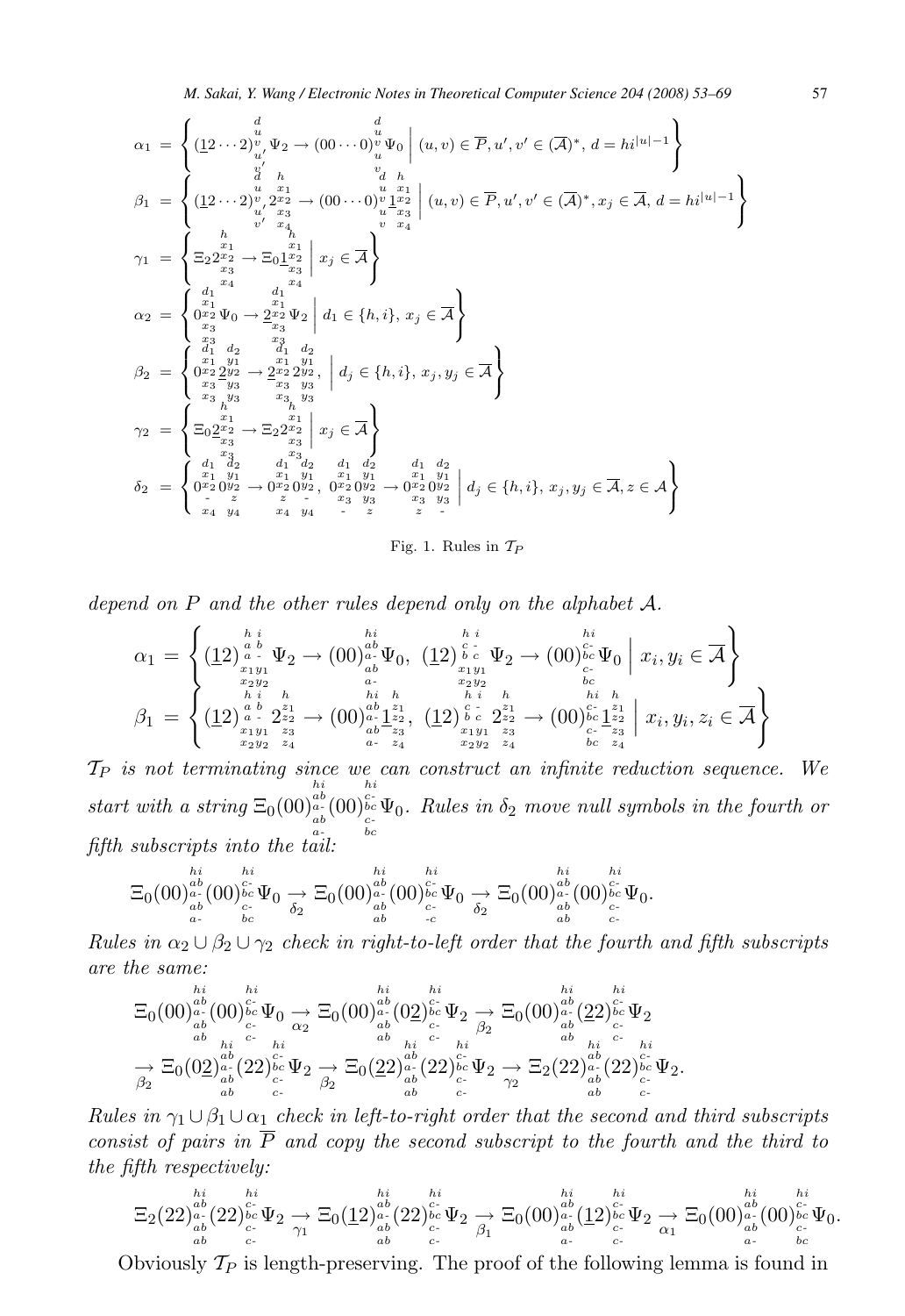<span id="page-4-0"></span>α<sup>1</sup> = 8 < : (12 ··· 2) d u v uv-Ψ<sup>2</sup> → (00 ··· 0) d u v u v Ψ<sup>0</sup> ˛ (u, v) <sup>∈</sup> P,u-, v- <sup>∈</sup> (A)∗, d <sup>=</sup> hi|u|−<sup>1</sup> 9 = ; β<sup>1</sup> = 8 < : (12 ··· 2) d u v uv-2 h x1 x2 x3 x4 → (00 ··· 0) d u v u v 1 h x1 x2 x3 x4 ˛ ˛ ˛ ˛ (u, v) <sup>∈</sup> P,u-, v- <sup>∈</sup> (A)∗, x<sup>j</sup> <sup>∈</sup> <sup>A</sup>, d <sup>=</sup> hi|u|−<sup>1</sup> 9 = ; γ<sup>1</sup> = 8 < : Ξ22 h x1 x2 x3 x4 → Ξ01 h x1 x2 x3 x4 ˛ ˛ ˛ ˛ <sup>x</sup><sup>j</sup> <sup>∈</sup> <sup>A</sup> 9 = ; α<sup>2</sup> = 8 < : 0 d1 x1 x2 x3 x3 Ψ<sup>0</sup> → 2 d1 x1 x2 x3 x3 Ψ<sup>2</sup> ˛ ˛ ˛ ˛ <sup>d</sup><sup>1</sup> ∈ {h, i}, x<sup>j</sup> <sup>∈</sup> <sup>A</sup> 9 = ; β<sup>2</sup> = 8 < : 0 d1 x1 x2 x3 x3 2 d2 y1 y2 y3 y3 → 2 d1 x1 x2 x3 x3 2 d2 y1 y2 y3 y3 , ˛ ˛ ˛ ˛ <sup>d</sup><sup>j</sup> ∈ {h, i}, x<sup>j</sup> , y<sup>j</sup> <sup>∈</sup> <sup>A</sup> 9 = ; γ<sup>2</sup> = 8 < : Ξ02 h x1 x2 x3 x3 → Ξ22 h x1 x2 x3 x3 ˛ ˛ ˛ ˛ <sup>x</sup><sup>j</sup> <sup>∈</sup> <sup>A</sup> 9 = ; δ<sup>2</sup> = 8 < : 0 d1 x1 x2 x4 0 d2 y1 y2 z y4 → 0 d1 x1 x2 z x4 0 d2 y1 y2 y4 , 0 d1 x1 x2 x3 - 0 d2 y1 y2 y3 z → 0 d1 x1 x2 x3 z 0 d2 y1 y2 y3 - ˛ ˛ ˛ ˛ <sup>d</sup><sup>j</sup> ∈ {h, i}, x<sup>j</sup> , y<sup>j</sup> <sup>∈</sup> <sup>A</sup>, z ∈ A 9 = ;



depend on <sup>P</sup> and the other rules depend only on the alphabet <sup>A</sup>.

$$
\alpha_{1} = \left\{ \begin{matrix} \left(12\right)_{a}^{h} \stackrel{i}{a} & \stackrel{hi}{a} \\ \left(12\right)_{a}^{h} \stackrel{.}{a} \stackrel{.}{b} \Psi_{2} \rightarrow (00)_{ab}^{h} \Psi_{0}, & \left(12\right)_{b}^{h} \stackrel{i}{c} \Psi_{2} \rightarrow (00)_{bc}^{h} \Psi_{0} \mid x_{i}, y_{i} \in \overline{\mathcal{A}} \\ x_{1} y_{1} & \stackrel{a}{b} \\ \left(12\right)_{a}^{h} \stackrel{i}{a} \stackrel{.}{b} & \stackrel{a}{a} \\ \left(12\right)_{a}^{h} \stackrel{i}{c} \stackrel{.}{c}^{2} \stackrel{.}{c} \rightarrow (00)_{ab}^{2} \left(12\right)_{b}^{h} \stackrel{i}{c} \stackrel{i}{c} \stackrel{.}{c} \\ \stackrel{hi}{b} \stackrel{.}{c} \\ \left(12\right)_{a}^{h} \stackrel{i}{c} \stackrel{.}{c}^{2} \stackrel{.}{c} \rightarrow (00)_{ab}^{2} \left(12\right)_{b}^{h} \stackrel{i}{c} \stackrel{i}{c} \left(12\right)_{c}^{2} \stackrel{i}{c} \stackrel{i}{c}^{2} \stackrel{i}{c} \rightarrow (00)_{c}^{2} \left(12\right)_{c}^{2} \left(12\right)_{c}^{2} \left(12\right) \\ \stackrel{i}{c} \stackrel{i}{c} \stackrel{i}{c} \stackrel{i}{c}^{2} \rightarrow (00)_{c}^{2} \left(12\right)_{c}^{2} \left(12\right)_{c}^{2} \left(12\right)_{c}^{2} \left(12\right) \\ \stackrel{i}{c} \stackrel{i}{c} \stackrel{i}{c} \stackrel{i}{c}^{2} \rightarrow (00)_{c}^{2} \left(12\right)_{c}^{2} \left(12\right)_{c}^{2} \left(12\right) \\ \stackrel{i}{c} \stackrel{i}{c} \stackrel{i}{c} \stackrel{i}{c}^{2} \rightarrow (00)_{c}^{2} \left(12\right)_{c}^{2} \left(12\right) \\ \stackrel{i}{c} \stackrel{i}{c} \stackrel{i
$$

 $\mathcal{T}_P$  is not terminating since we can construct an infinite reduction sequence. We start with a string  $\Xi_0(00)$  $\begin{array}{c} h\,i\,a\,b\\ a-b\\ a\,b\,\\ a\,\bigr\} \end{array}$ (00) hi<br>c-<br>bc<br>bc  $\Psi_0$ . Rules in  $\delta_2$  move null symbols in the fourth or fifth subscripts into the tail:

$$
\Xi_0(00)_{\substack{ab\\ab\\a-a}}^{hi}\stackrel{hi}{(00)_{\substack{bc\\c\\bc}}^{hi}}\Psi_0\underset{\delta_2}{\to}\Xi_0(00)_{\substack{ab\\ab\\ab}^{ai}}^{hi}\stackrel{hi}{(00)_{\substack{bc\\c}c}^{hi}}\Psi_0\underset{\delta_2}{\to}\Xi_0(00)_{\substack{ab\\ab}^{ai}}^{hi}\stackrel{hi}{(00)_{\substack{bc\\c}c}^{hi}}\Psi_0.
$$

Rules in  $\alpha_2 \cup \beta_2 \cup \gamma_2$  check in right-to-left order that the fourth and fifth subscripts are the same:

$$
\Xi_0(00)^{hi}_{ab}_{ab} (00)^{E_c}_{c_-} \Psi_0 \underset{ab}{\to} \Xi_0(00)^{hi}_{ab} (02)^{E_c}_{c_-} \Psi_2 \underset{ab}{\to} \Xi_0(00)^{hi}_{ab} (22)^{E_c}_{c_-} \Psi_2 \underset{ab}{\to} \Xi_0(00)^{hi}_{ab} (22)^{E_c}_{c_-} \Psi_2
$$
\n
$$
\underset{ab}{\to} \Xi_0(02)^{ab}_{ab} (22)^{E_c}_{bc} \Psi_2 \underset{ab}{\to} \Xi_0(22)^{ab}_{ab} (22)^{E_c}_{bc} \Psi_2 \underset{ab}{\to} \Xi_2(22)^{ab}_{ab} (22)^{E_c}_{bc} \Psi_2.
$$

Rules in  $\gamma_1 \cup \beta_1 \cup \alpha_1$  check in left-to-right order that the second and third subscripts consist of pairs in  $\overline{P}$  and copy the second subscript to the fourth and the third to the fifth respectively:

$$
\Xi_2(22)_{\substack{ab\\ab}^{ab}\\ab}^{bi}_{\substack{c\\c-}}(22)_{\substack{c\\ab}^{bc}\\c}^{bi}\Psi_2\underset{r}{\rightarrow}\Xi_0(\underline{1}2)_{\substack{ab\\ab}^{ab}\\ab}^{bi}_{\substack{c\\c-}}(22)_{\substack{c\\c}^{bc}\\c}^{bi}\Psi_2\underset{r}{\rightarrow}\Xi_0(00)_{\substack{ab\\ab}^{ab}(\underline{1}2)_{\substack{c\\c}^{bc}\\c}^{bi}\Psi_2\underset{r}{\rightarrow}\Xi_0(00)_{\substack{ab\\ab}^{ab}(0)_{\substack{c\\c}^{bc}\\c}^{bi}\Psi_0.
$$

Obviously  $\mathcal{T}_P$  is length-preserving. The proof of the following lemma is found in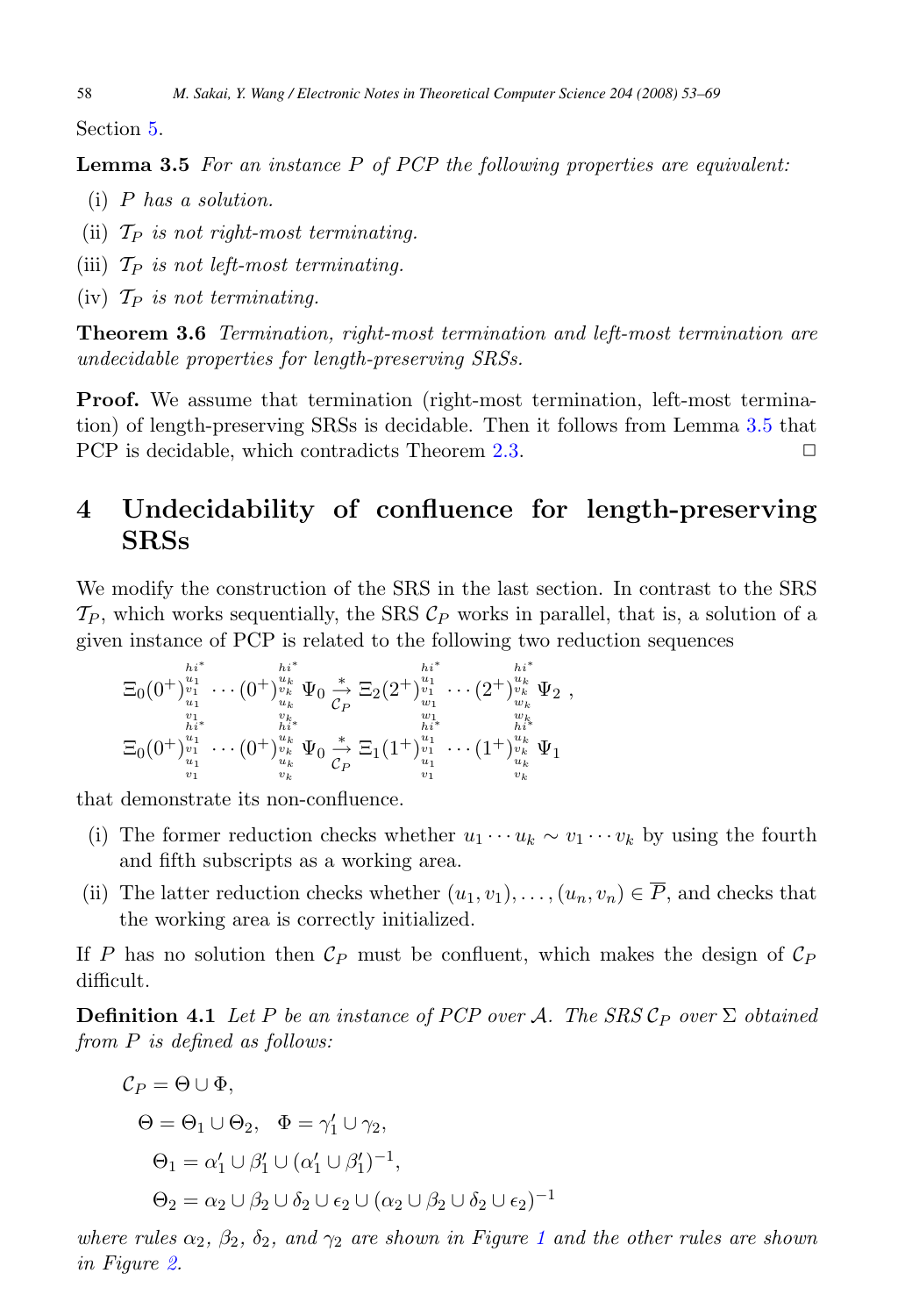<span id="page-5-0"></span>Section [5.](#page-6-0)

**Lemma 3.5** For an instance P of PCP the following properties are equivalent:

- (i) P has a solution.
- (ii)  $\mathcal{T}_P$  is not right-most terminating.
- (iii)  $\mathcal{T}_P$  is not left-most terminating.
- (iv)  $\mathcal{T}_P$  is not terminating.

**Theorem 3.6** Termination, right-most termination and left-most termination are undecidable properties for length-preserving SRSs.

**Proof.** We assume that termination (right-most termination, left-most termination) of length-preserving SRSs is decidable. Then it follows from Lemma 3.5 that PCP is decidable, which contradicts Theorem [2.3.](#page-2-0)  $\Box$ 

# **4 Undecidability of confluence for length-preserving SRSs**

We modify the construction of the SRS in the last section. In contrast to the SRS  $\mathcal{T}_P$ , which works sequentially, the SRS  $\mathcal{C}_P$  works in parallel, that is, a solution of a given instance of PCP is related to the following two reduction sequences

$$
\Xi_0(0^+)^{i_1*}_{u_1} \cdots (0^+)^{i_k*}_{u_k} \Psi_0 \underset{\substack{v_1\\v_1\\h_i*}}{\overset{h_i*}{\to}} \Xi_2(2^+)^{i_1}_{u_1} \cdots (2^+)^{i_k}_{u_k} \Psi_2 ,
$$
\n
$$
\Xi_0(0^+)^{i_1*}_{u_1} \cdots (0^+)^{i_k}_{u_k} \Psi_0 \underset{\substack{v_1\\h_i*}}{\overset{h_i*}{\to}} \Xi_1(1^+)^{i_1}_{u_1} \cdots (1^+)^{i_k}_{u_k} \Psi_1
$$
\n
$$
\Xi_0(0^+)^{i_1*}_{u_1} \cdots (0^+)^{i_k}_{u_k} \Psi_0 \underset{\substack{v_1\\v_k\\v_k}}{\overset{h_i*}{\to}} \Xi_1(1^+)^{i_1*}_{u_1} \cdots (1^+)^{i_k}_{u_k} \Psi_1
$$

that demonstrate its non-confluence.

- (i) The former reduction checks whether  $u_1 \cdots u_k \sim v_1 \cdots v_k$  by using the fourth and fifth subscripts as a working area.
- (ii) The latter reduction checks whether  $(u_1, v_1), \ldots, (u_n, v_n) \in \overline{P}$ , and checks that the working area is correctly initialized.

If P has no solution then  $\mathcal{C}_P$  must be confluent, which makes the design of  $\mathcal{C}_P$ difficult.

**Definition 4.1** Let P be an instance of PCP over A. The SRS  $\mathcal{C}_P$  over  $\Sigma$  obtained from P is defined as follows:

$$
C_P = \Theta \cup \Phi,
$$
  
\n
$$
\Theta = \Theta_1 \cup \Theta_2, \quad \Phi = \gamma'_1 \cup \gamma_2,
$$
  
\n
$$
\Theta_1 = \alpha'_1 \cup \beta'_1 \cup (\alpha'_1 \cup \beta'_1)^{-1},
$$
  
\n
$$
\Theta_2 = \alpha_2 \cup \beta_2 \cup \delta_2 \cup \epsilon_2 \cup (\alpha_2 \cup \beta_2 \cup \delta_2 \cup \epsilon_2)^{-1}
$$

where rules  $\alpha_2$ ,  $\beta_2$ ,  $\delta_2$ , and  $\gamma_2$  are shown in Figure [1](#page-4-0) and the other rules are shown in Figure [2.](#page-6-0)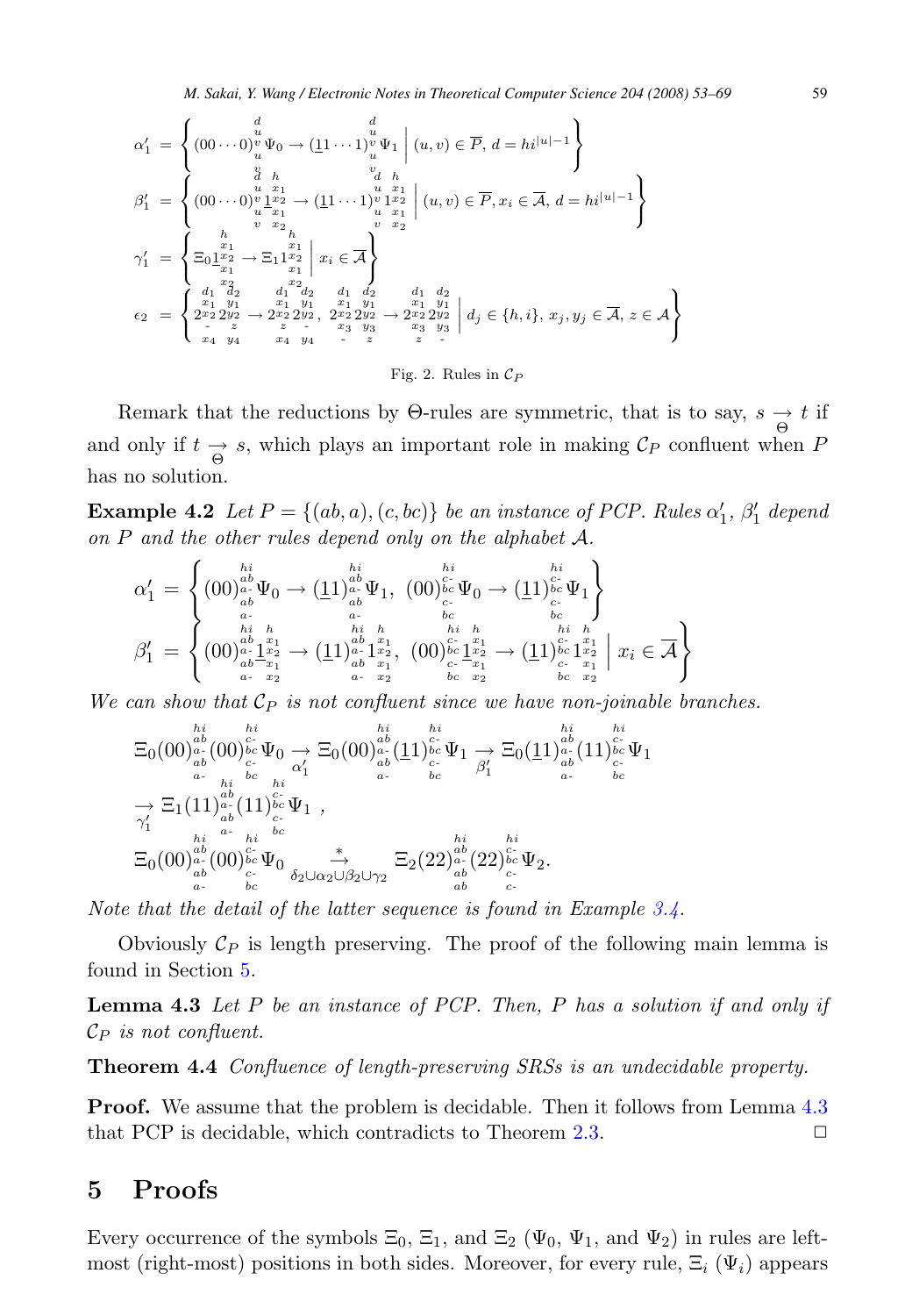*M. Sakai, Y. Wang / Electronic Notes in Theoretical Computer Science 204 (2008) 53–69* 59

<span id="page-6-0"></span>
$$
\alpha_1' = \begin{cases}\n d & d \\
 (00 \cdots 0)_u^u \Psi_0 \rightarrow (\underline{11} \cdots 1)_u^u \Psi_1 \middle| (u, v) \in \overline{P}, d = h i^{|u|-1} \n\end{cases}
$$
\n
$$
\beta_1' = \begin{cases}\n d & h & u & h \\
 (00 \cdots 0)_u^u \frac{x_1}{1} \rightarrow (11 \cdots 1)_u^u \frac{x_1}{1} \mid (u, v) \in \overline{P}, x_i \in \overline{A}, d = h i^{|u|-1} \n\end{cases}
$$
\n
$$
\gamma_1' = \begin{cases}\n h & v & x_2 \\
 \sum_{u} x_1 & h & v & x_2 \\
 \sum_{u} x_2 & \sum_{u} x_1 \\
 x_1 & x_1 \\
 x_2 & \sum_{u} x_2 \\
 \sum_{u} x_2 & \sum_{u} x_2 \\
 \sum_{u} x_2 & \sum_{u} x_2 \\
 \sum_{u} x_2 & \sum_{u} x_2 \\
 \sum_{u} x_2 & \sum_{u} x_2 \\
 \sum_{u} x_2 & \sum_{u} x_2 \\
 \sum_{u} x_1 & \sum_{u} x_1 & \sum_{u} x_2 \\
 \sum_{u} x_2 & \sum_{u} x_2 & \sum_{u} x_2 \\
 \sum_{u} x_1 & \sum_{u} x_1 & \sum_{u} x_2 \\
 \sum_{u} x_1 & \sum_{u} x_1 & \sum_{u} x_2 & \sum_{u} x_2 \\
 \sum_{u} x_1 & \sum_{u} x_1 & \sum_{u} x_2 & \sum_{u} x_2 \\
 \sum_{u} x_1 & \sum_{u} x_1 & \sum_{u} x_2 & \sum_{u} x_2 \\
 \sum_{u} x_1 & \sum_{u} x_1 & \sum_{u} x_2 & \sum_{u} x_2 & \sum_{u} x_2 \\
 \sum_{u} x_1 & \sum_{u} x_1 & \sum_{u} x_2 & \sum_{u} x_2 \\
 \sum_{u} x_1 & \sum_{u} x_1 & \sum_{u} x_2 & \sum_{u} x_2 \\
 \sum_{u} x_1 & \sum_{u} x_1 & \sum_{u} x_1 & \sum_{u} x_1 \\
 \sum_{u} x_1 & \sum_{u} x_1 & \sum_{u} x_1 & \sum_{u} x_1 \\
 \sum_{u} x_1 & \
$$

Fig. 2. Rules in  $\mathcal{C}_P$ 

Remark that the reductions by  $\Theta$ -rules are symmetric, that is to say,  $s \underset{\Theta}{\rightarrow} t$  if and only if  $t \rightarrow s$ , which plays an important role in making  $\mathcal{C}_P$  confluent when  $P$ has no solution.

**Example 4.2** Let  $P = \{(ab, a), (c, bc)\}\$  be an instance of PCP. Rules  $\alpha'_1$ ,  $\beta'_1$  depend on  $P$  and the other rules depend only on the alphabet  $\mathcal{A}$ .

$$
\alpha'_1 = \left\{ \begin{matrix} \binom{hi}{00\frac{ab}{ab}}\Psi_0 & -\left(\underline{1}1\right)_{ab}^{ab}\Psi_1, & \binom{hi}{00\frac{bc}{bc}}\Psi_0 & -\left(\underline{1}1\right)_{bc}^{bc}\Psi_1 \\ \frac{a}{ab} & \frac{a}{ab} & \frac{b}{ab} & \frac{b}{bc} \\ \frac{bi}{ab}\frac{h}{2a_1} & \frac{b}{2a_2} & -\left(\underline{1}1\right)_{ab}^{ab}\frac{a}{2a_1} & \frac{b}{2a_2} & \frac{b}{2a_1} & \frac{bi}{bc}\frac{h}{2a_1} \\ \frac{b}{ab}\frac{1}{2a_1} & -\left(\underline{1}1\right)_{ab}^{ab}\frac{a}{2a_1} & \frac{a}{2a_1} & \frac{b}{2a_1} & \frac{b}{2a_1} & \frac{b}{2a_1} & \frac{b}{2a_1} \\ \frac{b}{a_1} & \frac{b}{2a_1} & \frac{b}{2a_1} & \frac{b}{2a_1} & \frac{b}{2a_1} & \frac{b}{2a_1} & \frac{b}{2a_1} & \frac{b}{2a_1} & \frac{b}{2a_1} \\ \frac{b}{2a_1} & \frac{b}{2a_1} & \frac{b}{2a_1} & \frac{b}{2a_1} & \frac{b}{2a_1} & \frac{b}{2a_1} & \frac{b}{2a_1} & \frac{b}{2a_1} & \frac{b}{2a_1} \\ \frac{b}{2a_1} & \frac{b}{2a_1} & \frac{b}{2a_1} & \frac{b}{2a_1} & \frac{b}{2a_1} & \frac{b}{2a_1} & \frac{b}{2a_1} & \frac{b}{2a_1} & \frac{b}{2a_1} \\ \frac{b}{2a_1} & \frac{b}{2a_1} & \frac{b}{2a_1} & \frac{b}{2a_1} & \frac{b
$$

We can show that  $\mathcal{C}_P$  is not confluent since we have non-joinable branches.

$$
\begin{array}{llll} \Xi_0(00)^{hi}_{a\circ} (00)^{hi}_{c\circ} \Psi_0 & \to & \Xi_0(00)^{hi}_{a\circ} (11)^{hi}_{c\circ} \Psi_1 \to \Xi_0(11)^{hi}_{a\circ} (11)^{hi}_{c\circ} \Psi_1 \\ \pi^{-}{}_{a\circ} {}_{b\circ} {}_{c\circ} {}_{b\circ} {}_{a\circ} {}_{a\circ} {}_{b\circ} {}_{a\circ} {}_{b\circ} {}_{b\circ} {}_{a\circ} {}_{b\circ} {}_{a\circ} {}_{b\circ} {}_{a\circ} {}_{b\circ} {}_{a\circ} {}_{b\circ} {}_{a\circ} {}_{b\circ} {}_{a\circ} {}_{b\circ} {}_{a\circ} {}_{b\circ} {}_{a\circ} {}_{b\circ} {}_{a\circ} {}_{b\circ} {}_{a\circ} {}_{b\circ} {}_{a\circ} {}_{a\circ} {}_{b\circ} {}_{a\circ} {}_{a\circ} {}_{a\circ} {}_{a\circ} {}_{a\circ} {}_{a\circ} {}_{a\circ} {}_{a\circ} {}_{a\circ} {}_{a\circ} {}_{a\circ} {}_{a\circ} {}_{a\circ} {}_{a\circ} {}_{a\circ} {}_{a\circ} {}_{a\circ} {}_{a\circ} {}_{a\circ} {}_{a\circ} {}_{a\circ} {}_{a\circ} {}_{a\circ} {}_{a\circ} {}_{a\circ} {}_{a\circ} {}_{a\circ} {}_{a\circ} {}_{a\circ} {}_{a\circ} {}_{a\circ} {}_{a\circ} {}_{a\circ} {}_{a\circ} {}_{a\circ} {}_{a\circ} {}_{a\circ} {}_{a\circ} {}_{a\circ} {}_{a\circ} {}_{a\circ} {}_{a\circ} {}_{a\circ} {}_{a\circ} {}_{a\circ} {}_{a\circ} {}_{a\circ} {}_{a\circ} {}_{a\circ} {}_{a\circ} {}_{a\circ} {}_{a\circ} {}_{a\circ} {}_{a\circ} {}_{a\circ} {}_{a\circ} {}_{a\circ} {}_{a\circ} {}_{a\circ} {}_{a\circ} {}_{a\circ} {}_{a\circ} {}_{a\circ} {}_{a\circ} {}_{a\circ} {}_{a\circ} {}_{a\circ} {}_{a\circ} {}_{a\circ} {}_{a\circ} {}_{a\circ} {}_{a\circ} {}_{a\circ} {}_{a\circ} {}_{a\circ} {}_{a
$$

Note that the detail of the latter sequence is found in Example [3.4.](#page-3-0)

Obviously  $\mathcal{C}_P$  is length preserving. The proof of the following main lemma is found in Section 5.

**Lemma 4.3** Let P be an instance of PCP. Then, P has a solution if and only if  $\mathcal{C}_P$  is not confluent.

**Theorem 4.4** Confluence of length-preserving SRSs is an undecidable property.

**Proof.** We assume that the problem is decidable. Then it follows from Lemma 4.3 that PCP is decidable, which contradicts to Theorem [2.3.](#page-2-0)  $\Box$ 

### **5 Proofs**

Every occurrence of the symbols  $\Xi_0$ ,  $\Xi_1$ , and  $\Xi_2$  ( $\Psi_0$ ,  $\Psi_1$ , and  $\Psi_2$ ) in rules are leftmost (right-most) positions in both sides. Moreover, for every rule,  $\Xi_i$  ( $\Psi_i$ ) appears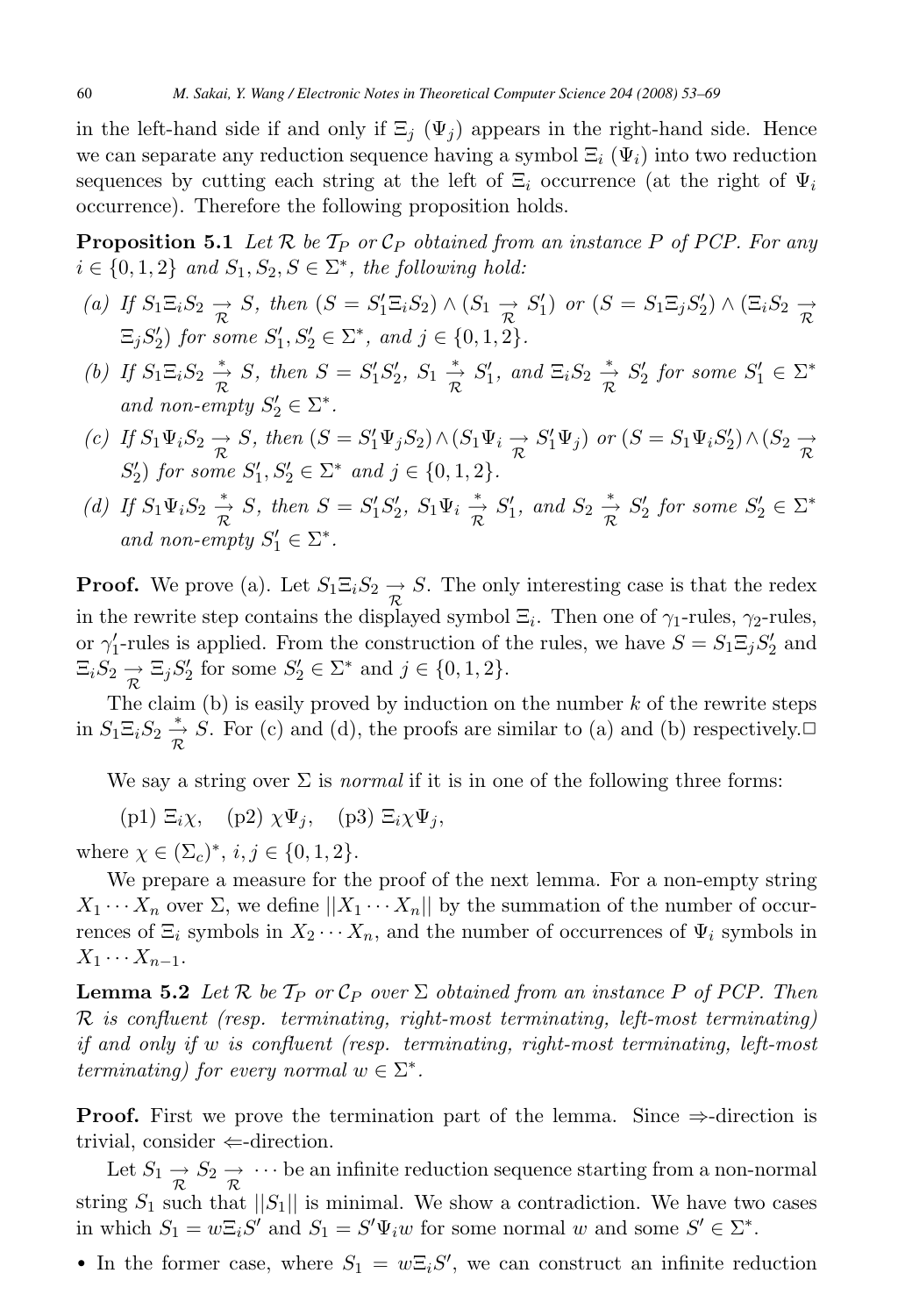<span id="page-7-0"></span>in the left-hand side if and only if  $\Xi_i$  ( $\Psi_j$ ) appears in the right-hand side. Hence we can separate any reduction sequence having a symbol  $\Xi_i(\Psi_i)$  into two reduction sequences by cutting each string at the left of  $\Xi_i$  occurrence (at the right of  $\Psi_i$ occurrence). Therefore the following proposition holds.

**Proposition 5.1** Let  $\mathcal{R}$  be  $\mathcal{T}_P$  or  $\mathcal{C}_P$  obtained from an instance P of PCP. For any  $i \in \{0, 1, 2\}$  and  $S_1, S_2, S \in \Sigma^*$ , the following hold:

- (a) If  $S_1 \Xi_i S_2 \to S$ , then  $(S = S'_1 \Xi_i S_2) \wedge (S_1 \to S'_1)$  or  $(S = S_1 \Xi_j S'_2) \wedge (\Xi_i S_2 \to S'_2)$  $\Xi_j S_2'$  for some  $S_1', S_2' \in \Sigma^*$ , and  $j \in \{0, 1, 2\}$ .
- (b) If  $S_1 \Xi_i S_2 \stackrel{*}{\to} S$ , then  $S = S'_1 S'_2$ ,  $S_1 \stackrel{*}{\to} S'_1$ , and  $\Xi_i S_2 \stackrel{*}{\to} S'_2$  for some  $S'_1 \in \Sigma^*$ and non-empty  $S'_2 \in \Sigma^*$ .
- (c) If  $S_1\Psi_iS_2 \to S$ , then  $(S = S'_1\Psi_jS_2) \wedge (S_1\Psi_i \to S'_1\Psi_j)$  or  $(S = S_1\Psi_iS'_2) \wedge (S_2 \to S'_1\Psi_j)$  $S'_2$ ) for some  $S'_1, S'_2 \in \Sigma^*$  and  $j \in \{0, 1, 2\}.$
- (d) If  $S_1\Psi_iS_2 \stackrel{*}{\to} S$ , then  $S = S_1'S_2'$ ,  $S_1\Psi_i \stackrel{*}{\to} S_1'$ , and  $S_2 \stackrel{*}{\to} S_2'$  for some  $S_2' \in \Sigma^*$ and non-empty  $S'_1 \in \Sigma^*$ .

**Proof.** We prove (a). Let  $S_1 \Xi_i S_2 \to S$ . The only interesting case is that the redex in the rewrite step contains the displayed symbol  $\Xi_i$ . Then one of  $\gamma_1$ -rules,  $\gamma_2$ -rules, or  $\gamma'_1$ -rules is applied. From the construction of the rules, we have  $S = S_1 \Xi_j S_2'$  and  $\Xi_i S_2 \to \Xi_j S_2'$  for some  $S_2' \in \Sigma^*$  and  $j \in \{0, 1, 2\}.$ 

The claim (b) is easily proved by induction on the number  $k$  of the rewrite steps in  $S_1\Xi_iS_2 \stackrel{*}{\to} S$ . For (c) and (d), the proofs are similar to (a) and (b) respectively.  $\Box$ 

We say a string over  $\Sigma$  is *normal* if it is in one of the following three forms:

(p1)  $\Xi_i \chi$ , (p2)  $\chi \Psi_i$ , (p3)  $\Xi_i \chi \Psi_i$ ,

where  $\chi \in (\Sigma_c)^*, i, j \in \{0, 1, 2\}.$ 

We prepare a measure for the proof of the next lemma. For a non-empty string  $X_1 \cdots X_n$  over  $\Sigma$ , we define  $||X_1 \cdots X_n||$  by the summation of the number of occurrences of  $\Xi_i$  symbols in  $X_2 \cdots X_n$ , and the number of occurrences of  $\Psi_i$  symbols in  $X_1 \cdots X_{n-1}$ .

**Lemma 5.2** Let  $\mathcal{R}$  be  $\mathcal{T}_P$  or  $\mathcal{C}_P$  over  $\Sigma$  obtained from an instance P of PCP. Then  $\mathcal{R}$  is confluent (resp. terminating, right-most terminating, left-most terminating) if and only if w is confluent (resp. terminating, right-most terminating, left-most terminating) for every normal  $w \in \Sigma^*$ .

**Proof.** First we prove the termination part of the lemma. Since  $\Rightarrow$ -direction is trivial, consider  $\Leftarrow$ -direction.

Let  $S_1 \rightarrow S_2 \rightarrow \cdots$  be an infinite reduction sequence starting from a non-normal string  $S_1$  such that  $||S_1||$  is minimal. We show a contradiction. We have two cases in which  $S_1 = w \Xi_i S'$  and  $S_1 = S' \Psi_i w$  for some normal w and some  $S' \in \Sigma^*$ .

• In the former case, where  $S_1 = w \Xi_i S'$ , we can construct an infinite reduction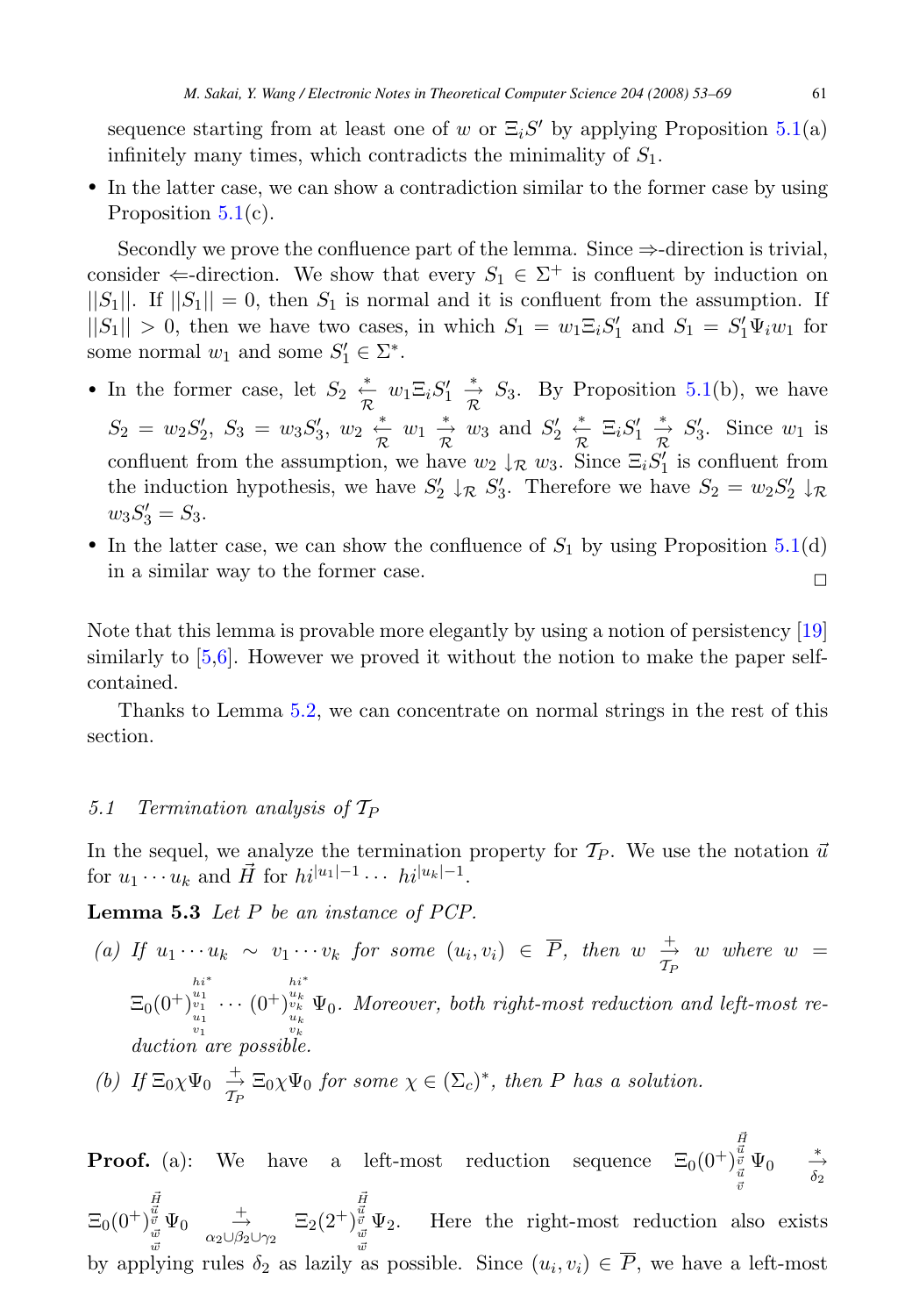<span id="page-8-0"></span>sequence starting from at least one of w or  $\Xi_i S'$  by applying Proposition [5.1\(](#page-7-0)a) infinitely many times, which contradicts the minimality of  $S_1$ .

• In the latter case, we can show a contradiction similar to the former case by using Proposition [5.1\(](#page-7-0)c).

Secondly we prove the confluence part of the lemma. Since  $\Rightarrow$ -direction is trivial, consider  $\Leftarrow$ -direction. We show that every  $S_1 \in \Sigma^+$  is confluent by induction on  $||S_1||$ . If  $||S_1|| = 0$ , then  $S_1$  is normal and it is confluent from the assumption. If  $||S_1|| > 0$ , then we have two cases, in which  $S_1 = w_1 \Xi_i S'_1$  and  $S_1 = S'_1 \Psi_i w_1$  for some normal  $w_1$  and some  $S'_1 \in \Sigma^*$ .

- In the former case, let  $S_2 \stackrel{*}{\underset{\mathcal{R}}{\leftarrow}} w_1 \Xi_i S'_1 \stackrel{*}{\underset{\mathcal{R}}{\rightarrow}} S_3$ . By Proposition [5.1\(](#page-7-0)b), we have  $S_2 = w_2 S_2', S_3 = w_3 S_3', w_2 \stackrel{*}{\underset{\mathcal{R}}{\leftarrow}} w_1 \stackrel{*}{\underset{\mathcal{R}}{\rightleftarrow}} w_3$  and  $S_2' \stackrel{*}{\underset{\mathcal{R}}{\leftarrow}} \Xi_i S_1' \stackrel{*}{\underset{\mathcal{R}}{\rightleftarrow}} S_3'$ . Since  $w_1$  is confluent from the assumption, we have  $w_2 \downarrow_R w_3$ . Since  $\Xi_i S'_1$  is confluent from the induction hypothesis, we have  $S'_2 \downarrow_R S'_3$ . Therefore we have  $S_2 = w_2 S'_2 \downarrow_R$  $w_3S'_3=S_3.$
- In the latter case, we can show the confluence of  $S_1$  by using Proposition [5.1\(](#page-7-0)d) in a similar way to the former case.  $\Box$

Note that this lemma is provable more elegantly by using a notion of persistency [\[19\]](#page-16-0) similarly to [\[5,6\]](#page-15-0). However we proved it without the notion to make the paper selfcontained.

Thanks to Lemma [5.2,](#page-7-0) we can concentrate on normal strings in the rest of this section.

#### 5.1 Termination analysis of  $T_P$

In the sequel, we analyze the termination property for  $\mathcal{T}_P$ . We use the notation  $\vec{u}$ for  $u_1 \cdots u_k$  and  $\vec{H}$  for  $hi^{|u_1|-1} \cdots hi^{|u_k|-1}$ .

**Lemma 5.3** Let P be an instance of PCP.

(a) If  $u_1 \cdots u_k \sim v_1 \cdots v_k$  for some  $(u_i, v_i) \in \overline{P}$ , then  $w \stackrel{+}{\to} w$  where  $w =$  $\Xi_0(0^+)$  $\begin{smallmatrix} h i^* \ v_1^* \ v_1^* \ \cdots \ v_1^* \end{smallmatrix} \cdots \left( 0^+ \right)$  $h^{\ast}_{u_k}^{u_k} \v_k$ uk Ψ0. Moreover, both right-most reduction and left-most reduction are possible.

(b) If 
$$
\Xi_0 \chi \Psi_0 \stackrel{+}{\to} \Xi_0 \chi \Psi_0
$$
 for some  $\chi \in (\Sigma_c)^*$ , then P has a solution.

**Proof.** (a): We have a left-most reduction sequence  $\Xi_0(0^+)$  $\begin{array}{cc} \vec{H} & \vec{u} \\ \vec{v} & \Psi_0 & \rightarrow \\ \vec{u} & \delta_2 \end{array}$  $\vec{v}$  $\Xi_0(0^+)$  $\vec{H}$   $\vec{u}$   $\vec{v}$   $\vec{w}$   $\vec{w}$  $\Psi_0 \stackrel{+}{\rightarrow}_{\alpha_2 \cup \beta_2 \cup \gamma_2} \Xi_2(2^+)$  $\vec{H}$   $\vec{u}$   $\vec{v}$   $\vec{w}$   $\vec{w}$  $\Psi_2$ . Here the right-most reduction also exists by applying rules  $\delta_2$  as lazily as possible. Since  $(u_i, v_i) \in \overline{P}$ , we have a left-most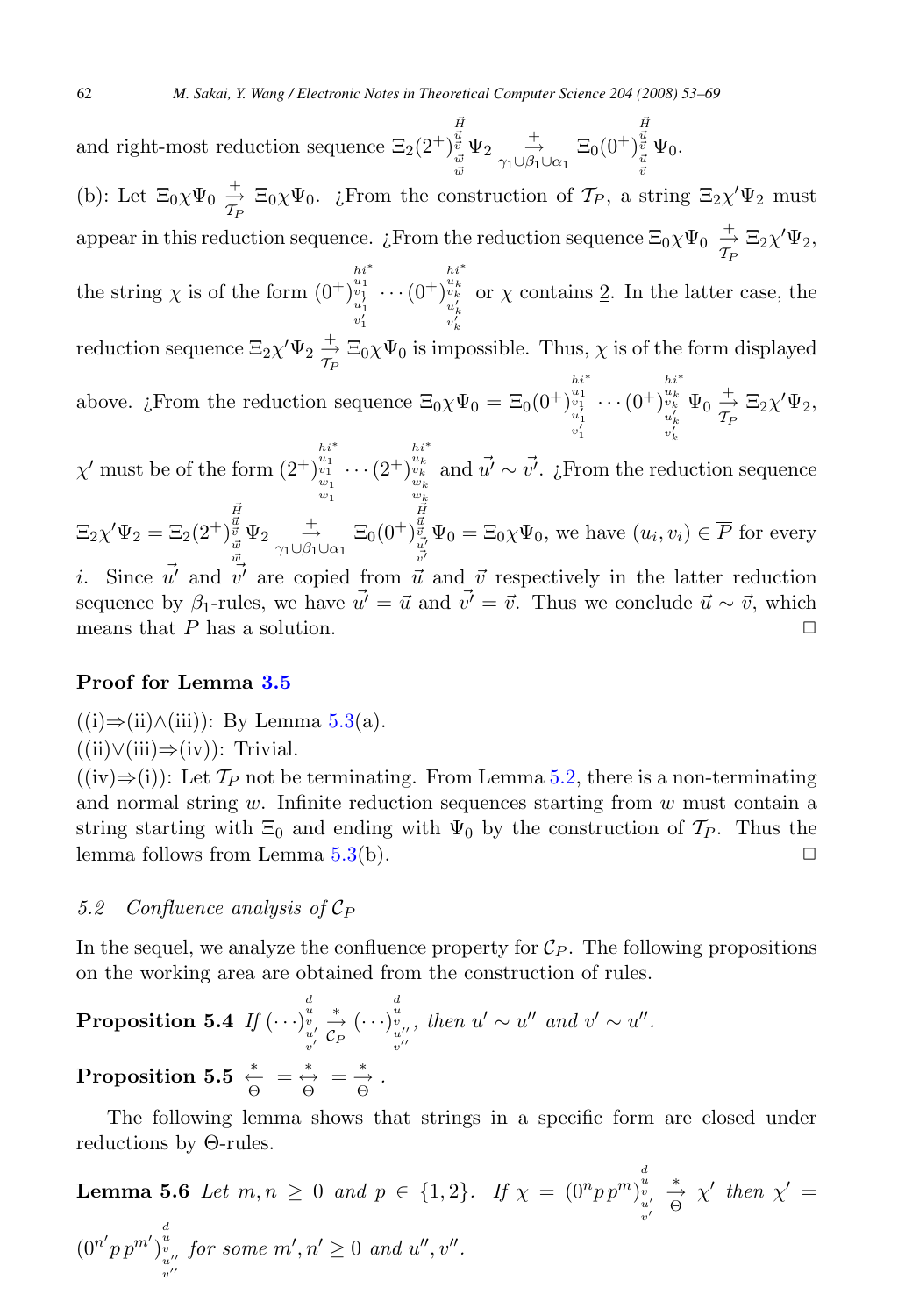<span id="page-9-0"></span>and right-most reduction sequence  $\Xi_2(2^+)$  $\vec{H}$  $\vec{u}$  $\vec{v}$  $\vec{w}$  $\Psi_2 \underset{\gamma_1 \cup \beta_1 \cup \alpha_1}{\overset{+}{\rightarrow}} \Xi_0(0^+)$  $\vec{H}$   $\vec{u}$   $\vec{v}$   $\vec{u}$   $\vec{v}$  $\Psi_0$ . (b): Let  $\Xi_0 \chi \Psi_0 \stackrel{+}{\to} \Xi_0 \chi \Psi_0$ . ¿From the construction of  $\mathcal{T}_P$ , a string  $\Xi_2 \chi' \Psi_2$  must appear in this reduction sequence.  $\iota$ From the reduction sequence  $\Xi_0 \chi \Psi_0 \stackrel{+}{\to} \Xi_2 \chi' \Psi_2$ , the string  $\chi$  is of the form  $(0^+)^{ht^*}_{u'_1}$ <br>  $v'_1$  $\cdots(0^+)$  $h^{i^*}_{u_k}$ or  $\chi$  contains 2. In the latter case, the reduction sequence  $\Xi_2 \chi' \Psi_2 \stackrel{+}{\to} \Xi_0 \chi \Psi_0$  is impossible. Thus,  $\chi$  is of the form displayed above. *i*. From the reduction sequence  $\Xi_0 \chi \Psi_0 = \Xi_0 (0^+)^{u_1}_{u_1} \cdots (0^+)^{u_n}$ 1  $v_k$  $h^{i}{}^{*}{}_{u}{}^{k}{}_{k}{}^{k}{}_{u}{}^{k}{}_{k}{}^{k}{}_{v}{}^{k}{}_{v}{}^{k}{}_{v}{}^{k}{}_{v}{}^{k}{}_{v}{}^{k}{}_{v}{}^{k}{}_{v}{}^{k}{}_{v}{}^{k}{}_{v}{}^{k}{}_{v}{}^{k}{}_{v}{}^{k}{}_{v}{}^{k}{}_{v}{}^{k}{}_{v}{}^{k}{}_{v}{}^{k}{}_{v}{}^{k}{}_{v}{}^{k}{}_{v}{}^{k}{}_{v}{}^{k}{}_{v}{}^{k}{}_{v}{}^{k}{}_{v}{}^{k}{}_{v}$  $\Psi_0 \stackrel{+}{\rightarrow} \Xi_2 \chi' \Psi_2$ ,  $\chi'$  must be of the form  $(2^+)^{u_1^1}_{w_1} \cdots (2^+)^{u_{l-1}^1}_{w_1}$  $h^{i^*}_{u_k}$ uk $w_k$ and  $\vec{u'} \sim \vec{v'}$ . ¿From the reduction sequence

 $\Xi_2 \chi' \Psi_2 = \Xi_2(2^+)$  $\vec{H}$   $\vec{u}$   $\vec{v}$   $\vec{w}$   $\vec{w}$  $\Psi_2 \underset{\gamma_1 \cup \beta_1 \cup \alpha_1}{\overset{+}{\rightarrow}} \Xi_0(0^+)$  $\begin{array}{c}\n\ddot{\vec{u}}\\
\frac{\vec{u}}{v}\\
\vec{v}\n\end{array}$   $\Psi_0 = \Xi_0 \chi \Psi_0$ , we have  $(u_i, v_i) \in \overline{P}$  for every i. Since  $\vec{u'}$  and  $\vec{v'}$  are copied from  $\vec{u}$  and  $\vec{v}$  respectively in the latter reduction

sequence by  $\beta_1$ -rules, we have  $\vec{u'} = \vec{u}$  and  $\vec{v'} = \vec{v}$ . Thus we conclude  $\vec{u} \sim \vec{v}$ , which means that P has a solution. means that  $P$  has a solution.

#### **Proof for Lemma [3.5](#page-5-0)**

 $((i) \Rightarrow (ii) \land (iii))$ : By Lemma [5.3\(](#page-8-0)a).

 $((ii) \lor (iii) \Rightarrow (iv))$ : Trivial.

 $((iv) \Rightarrow (i))$ : Let  $\mathcal{T}_P$  not be terminating. From Lemma [5.2,](#page-7-0) there is a non-terminating and normal string  $w$ . Infinite reduction sequences starting from  $w$  must contain a string starting with  $\Xi_0$  and ending with  $\Psi_0$  by the construction of  $\mathcal{T}_P$ . Thus the lemma follows from Lemma 5.3(b). lemma follows from Lemma  $5.3(b)$  $5.3(b)$ .

#### 5.2 Confluence analysis of  $C_P$

In the sequel, we analyze the confluence property for  $\mathcal{C}_P$ . The following propositions on the working area are obtained from the construction of rules.

**Proposition 5.4** If 
$$
(\cdots)_{\substack{u \ v' \\ v'}}^d \underset{\substack{v'' \\ v''}}{\xrightarrow{\ast}} (\cdots)_{\substack{v'' \\ v''}}^d, \text{ then } u' \sim u'' \text{ and } v' \sim u''.
$$
  
\n**Proposition 5.5**  $\underset{\Theta}{\overset{*}{\leftarrow}} = \underset{\Theta}{\overset{*}{\leftrightarrow}} = \underset{\Theta}{\overset{*}{\rightarrow}}.$ 

The following lemma shows that strings in a specific form are closed under reductions by Θ-rules.

**Lemma 5.6** Let 
$$
m, n \geq 0
$$
 and  $p \in \{1, 2\}$ . If  $\chi = (0^n p p^m)_{\substack{v \\ v' \\ v''}}^{\substack{d \\ d \\ d' \\ v''}}^{\substack{d \\ d \\ d' \\ d''}}^{\substack{d \\ d' \\ d' \\ d''}}^{\substack{d \\ d' \\ d''}}^{\substack{d \\ d' \\ d''}}^{\substack{d \\ d' \\ d''}}^{\substack{d \\ d' \\ d''}}^{\substack{d \\ d' \\ d''}}^{\substack{d' \\ d' \\ d''}}^{\substack{d' \\ d''}}^{\substack{d' \\ d''}}^{\substack{d' \\ d''}}^{\substack{d' \\ d''}}^{\substack{d' \\ d''}}^{\substack{d' \\ d''}}^{\substack{d' \\ d''}}^{\substack{d' \\ d''}}^{\substack{d'' \\ d''}}^{\substack{d'' \\ d''}}^{\substack{d'' \\ d''}}^{\substack{d'' \\ d''}}^{\substack{d'' \\ d''}}^{\substack{d'' \\ d''}}^{\substack{d'' \\ d''}}^{\substack{d'' \\ d''}}^{\substack{d'' \\ d''}}^{\substack{d'' \\ d''}}^{\substack{d'' \\ d''}}^{\substack{d'' \\ d''}}^{\substack{d'' \\ d''}}^{\substack{d'' \\ d''}}^{\substack{d'' \\ d''}}^{\substack{d'' \\ d''}}^{\substack{d'' \\ d''}}^{\substack{d'' \\ d''}}^{\substack{d'' \\ d''}}^{\substack{d'' \\ d''}}^{\substack{d'' \\ d''}}^{\substack{d'' \\ d''}}^{\substack{d'' \\ d''}}^{\substack{d'' \\ d''}}^{\substack{d'' \\ d''}}^{\substack{d'' \\ d''}}^{\substack{d'' \\ d''}}^{\substack{d'' \\ d''}}^{\substack{d'' \\ d''}}^{\substack{d'' \\ d''}}^{\substack{d'' \\ d''}}^{\substack{d'' \\ d''}}^{\substack{d'' \\ d''}}^{\substack{d'' \\ d''}}^{\substack{d'' \\ d''}}^{\substack{d'' \\ d''}}^{\substack{d'' \\ d''}}^{\substack{d'' \\ d''}}^{\substack{d'' \\ d''}}^{\substack{d'' \\ d''}}^{\substack{d'' \\ d''}}^{\substack{d'' \\ d''}}^{\substack{d'' \\ d''}}^$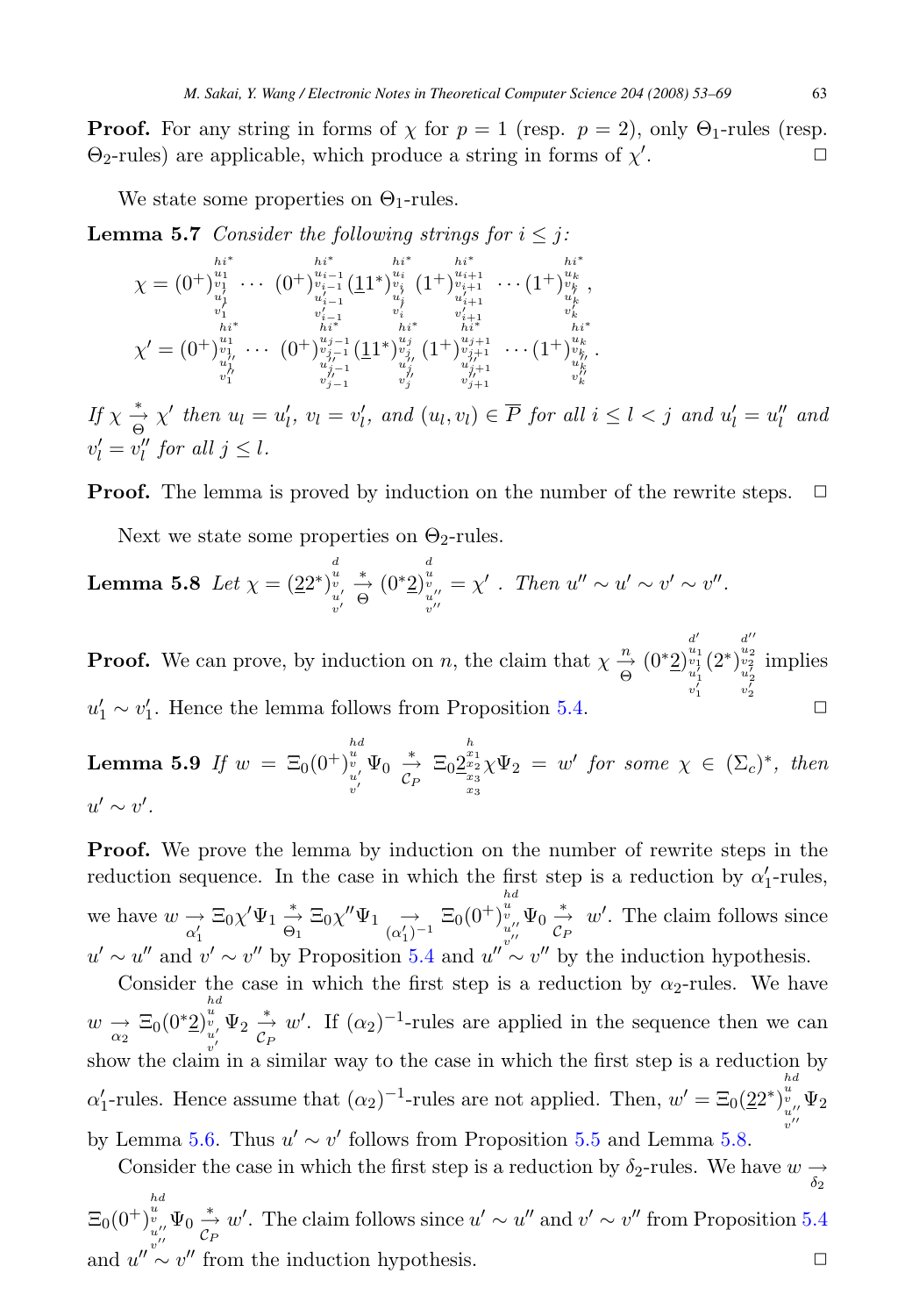<span id="page-10-0"></span>**Proof.** For any string in forms of  $\chi$  for  $p = 1$  (resp.  $p = 2$ ), only  $\Theta_1$ -rules (resp. Θ2-rules) are applicable, which produce a string in forms of χ .  $\Box$ 

We state some properties on  $\Theta_1$ -rules.

**Lemma 5.7** Consider the following strings for  $i \leq j$ :

$$
\chi = (0^+)^{i_1*}_{\substack{v_1\\u_1\\v_1'\\v_1'\\v_1''}} \cdots (0^+)^{i_{i-1}}_{\substack{v_{i-1}\\v_{i-1}'\\v_{i-1}'\\v_i''}} \frac{h^{i^*}}{(1^+)^{v_{i+1}^*}_{\substack{v_{i-1}'\\v_i'\\v_i'\\v_i''}}}(1^+)^{i_{i+1}^*}_{\substack{v_{i+1}'\\v_{i+1}'\\v_i'\\v_i''\\v_1''}} \cdots (1^+)^{i_{v_k}^*}_{\substack{v_k'\\v_{i+1}'\\v_1''\\v_1''}} \cdots (0^+)^{i_{v_{j-1}^*}}_{\substack{v_{j-1}^*\\v_{j-1}'\\v_{j-1}'\\v_{j''}''}} \frac{h^{i^*}}{(1^+)^{u_{j+1}^*}_{\substack{v_{j+1}'\\v_{j+1}'\\v_{j+1}'\\v_{j+1}'}} \cdots (1^+)^{i_{v_k}^*}_{\substack{v_k'\\v_k'\\v_k''}}.
$$

If  $\chi \stackrel{*}{\underset{\Theta}{\to}} \chi'$  then  $u_l = u'_l$ ,  $v_l = v'_l$ , and  $(u_l, v_l) \in \overline{P}$  for all  $i \leq l < j$  and  $u'_l = u''_l$  and  $v'_l = v''_l$  for all  $j \leq l$ .

**Proof.** The lemma is proved by induction on the number of the rewrite steps.  $\Box$ 

Next we state some properties on  $\Theta_2$ -rules.

**Lemma 5.8** Let 
$$
\chi = (22^*)_{\substack{u \ v' \\ v'}}^{\stackrel{d}{u}} \stackrel{*}{\underset{v''}{\to}} (0^*2)_{\substack{v \ v''}}^{\stackrel{d}{u}} = \chi' \cdot \text{ Then } u'' \sim u' \sim v' \sim v''.
$$

**Proof.** We can prove, by induction on n, the claim that  $\chi \frac{n}{\Theta}$  (0<sup>\*</sup>2)  $d'\overline{u_1}\overline{v_1'}$ <br> $u'_1$ <br> $v'_1$ (2∗)  $\frac{d''}{u_2}$ <br> $\frac{u_2}{u_2'}$ implies  $u'_1 \sim v'_1$ . Hence the lemma follows from Proposition [5.4.](#page-9-0)  $\Box$ 

**Lemma 5.9** If  $w = \Xi_0 (0^+)^{hd}_{\substack{u \ u' \\ v'}} \Psi_0 \overset{*}{\underset{C_P}{\to}} \Xi_0 \underline{2}$  $\sum_{\substack{x_1 \\ x_2 \\ x_3}}^{h} \chi \Psi_2 = w'$  for some  $\chi \in (\Sigma_c)^*$ , then  $u' \sim v'.$ 

**Proof.** We prove the lemma by induction on the number of rewrite steps in the reduction sequence. In the case in which the first step is a reduction by  $\alpha'_1$ -rules, we have  $w \underset{\alpha'_1}{\rightarrow} \Xi_0 \chi' \Psi_1 \underset{\alpha_1}{\rightarrow} \Xi_0 \chi'' \Psi_1 \underset{\alpha'_1}{\rightarrow} \Xi_0 (0^+)^{u}_{u''} \Psi_0 \underset{\alpha'}{\rightarrow} w'.$  The claim follows since  $u' \sim u''$  and  $v' \sim v''$  by Proposition [5.4](#page-9-0) and  $u'' \sim v''$  by the induction hypothesis. hd

Consider the case in which the first step is a reduction by  $\alpha_2$ -rules. We have  $w \underset{\alpha_2}{\rightarrow} \Xi_0(0^*2)$  $\int_{\substack{u \ u' \ v'}}^{\text{ad}} \Psi_2 \stackrel{*}{\to} w'.$  If  $(\alpha_2)^{-1}$ -rules are applied in the sequence then we can show the claim in a similar way to the case in which the first step is a reduction by  $\alpha'_1$ -rules. Hence assume that  $(\alpha_2)^{-1}$ -rules are not applied. Then,  $w' = \Xi_0(22^*)_{\substack{v \ v''}}^{\overline{u}} \Psi_2$  $v'$ -by Lemma [5.6.](#page-9-0) Thus  $u' \sim v'$  follows from Proposition [5.5](#page-9-0) and Lemma 5.8.

Consider the case in which the first step is a reduction by  $\delta_2$ -rules. We have  $w \rightarrow \delta_2$  $\Xi_0(0^+)$  $\int_{\substack{u \ u \ w'}}^{h d} \Psi_0 \stackrel{*}{\to} w'.$  The claim follows since  $u' \sim u''$  and  $v' \sim v''$  from Proposition [5.4](#page-9-0) and  $u'' \sim v''$  from the induction hypothesis.  $\Box$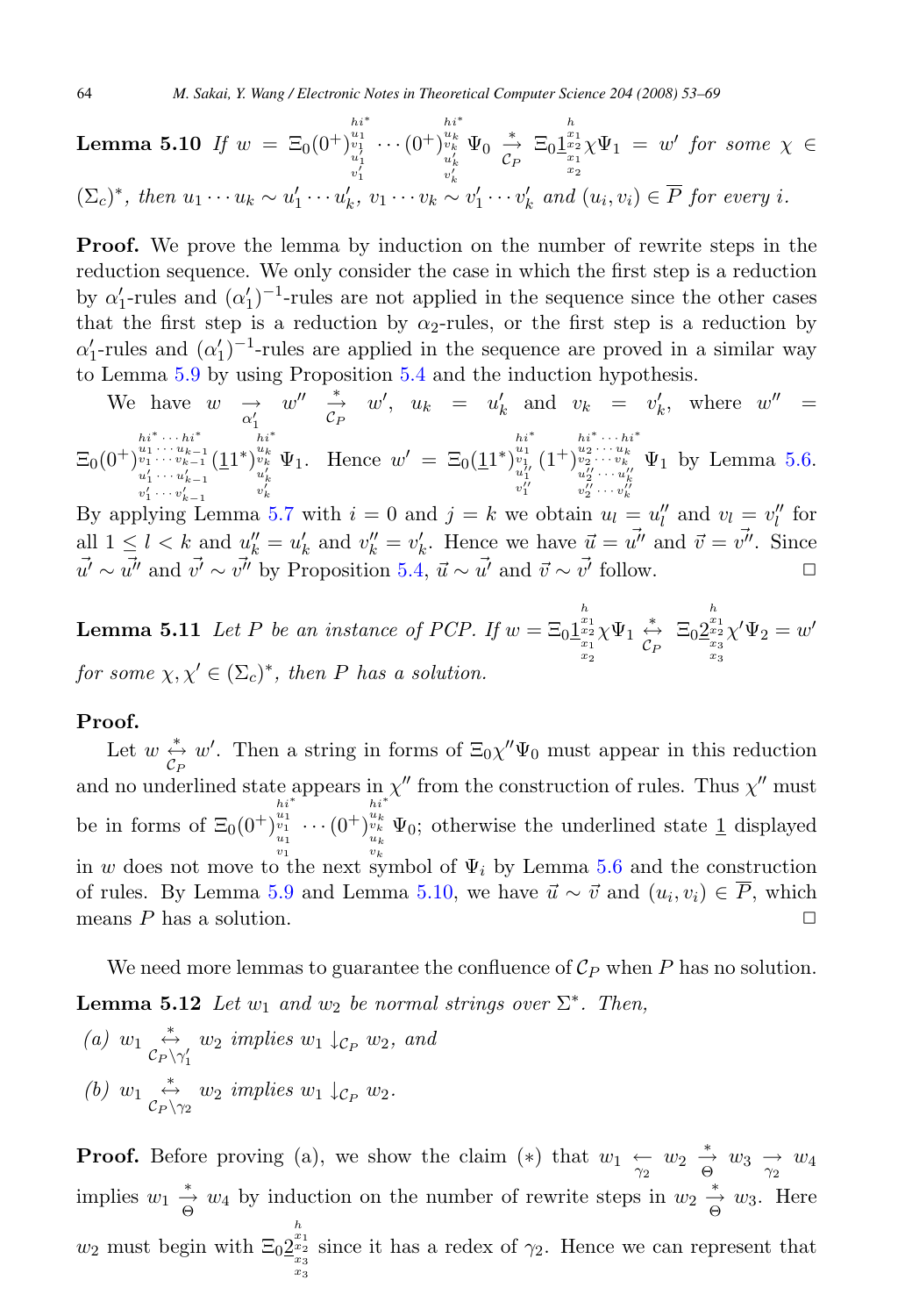#### <span id="page-11-0"></span>**Lemma 5.10** If w = Ξ0(0+) hi∗ u1 v1 u- 1 v-···(0+)  $(\Sigma_c)^*$ , then  $u_1 \cdots u_k \sim u'_1 \cdots u'_k$ ,  $v_1 \cdots v_k \sim v'_1 \cdots v'_k$  and  $(u_i, v_i) \in \overline{P}$  for every i.  $h^{i}$ <sup>\*</sup><br> $u^{k}_{k}$  $u^{k}_{k'}$  $v^{l}_{k}$  $\Psi_0 \stackrel{*}{\underset{C_P}{\rightarrow}} \Xi_0 \underline{1}$  $\begin{array}{rcl} \frac{x_1}{x_1} \chi \Psi_1 \ = \ w' \ \textit{for some} \ \chi \ \in \frac{x_2}{x_2} \end{array}$

**Proof.** We prove the lemma by induction on the number of rewrite steps in the reduction sequence. We only consider the case in which the first step is a reduction by  $\alpha'_1$ -rules and  $(\alpha'_1)^{-1}$ -rules are not applied in the sequence since the other cases that the first step is a reduction by  $\alpha_2$ -rules, or the first step is a reduction by  $\alpha'_1$ -rules and  $(\alpha'_1)^{-1}$ -rules are applied in the sequence are proved in a similar way to Lemma [5.9](#page-10-0) by using Proposition [5.4](#page-9-0) and the induction hypothesis.

We have <sup>w</sup> <sup>→</sup>α-1 w <sup>∗</sup> →CP w , u<sup>k</sup> = u <sup>k</sup> and v<sup>k</sup> = v <sup>k</sup>, where w = Ξ0(0+) hi<sup>∗</sup> ··· hi<sup>∗</sup> <sup>u</sup><sup>1</sup> ··· <sup>u</sup>k−<sup>1</sup> <sup>v</sup><sup>1</sup> ··· <sup>v</sup>k−<sup>1</sup> u-<sup>1</sup> ··· <sup>u</sup>k−1 (11∗) hi∗ ukvk uk v-Ψ1. Hence w = Ξ0(11∗) hi∗ u1 v1 u--1 v--(1+) hi<sup>∗</sup> ··· hi<sup>∗</sup> <sup>u</sup><sup>2</sup> ··· <sup>u</sup><sup>k</sup> <sup>v</sup><sup>2</sup> ··· <sup>v</sup><sup>k</sup> u--<sup>2</sup> ··· <sup>u</sup>-k v-Ψ<sup>1</sup> by Lemma [5.6.](#page-9-0)

 $v_1' \cdots v_{k-1}'$   $v_k'$ <br>By applying Lemma [5.7](#page-10-0) with  $i = 0$  and  $j = k$  we obtain  $u_l = u_l''$  and  $v_l = v_l''$  for all  $1 \leq l < k$  and  $u''_k = u'_k$  and  $v''_k = v'_k$ . Hence we have  $\vec{u} = \vec{u''}$  and  $\vec{v} = \vec{v''}$ . Since  $\vec{u'} \sim \vec{u''}$  and  $\vec{v'} \sim \vec{v''}$  by Proposition [5.4,](#page-9-0)  $\vec{u} \sim \vec{u'}$  and  $\vec{v} \sim \vec{v'}$  follow.  $\Box$ 

**Lemma 5.11** Let P be an instance of PCP. If  $w = \Xi_0 \frac{\int_{x_1}^{h} x_2}{x_1}$  $\chi\Psi_1 \stackrel{*}{\underset{C_P}{\leftrightarrow}} \Xi_0 \underline{2}$  $h_{x_1}$ <br> $x_2$ <br> $x_3$ <br> $x_3$  $\chi'\Psi_2=w'$ for some  $\chi, \chi' \in (\Sigma_c)^*$ , then P has a solution.

#### **Proof.**

Let  $w \stackrel{*}{\leftrightarrow} w'$ . Then a string in forms of  $\Xi_0 \chi'' \Psi_0$  must appear in this reduction and no underlined state appears in  $\chi''$  from the construction of rules. Thus  $\chi''$  must be in forms of  $\Xi_0(0^+)$  $\frac{u_1}{v_1} \cdots (0^+)$ in w does not move to the next symbol of  $\Psi_i$  by Lemma [5.6](#page-9-0) and the construction  $\sum_{\substack{u_k \ u_k}}^{u_k} \Psi_0$ ; otherwise the underlined state <u>1</u> displayed of rules. By Lemma [5.9](#page-10-0) and Lemma [5.10,](#page-10-0) we have  $\vec{u} \sim \vec{v}$  and  $(u_i, v_i) \in \overline{P}$ , which means *P* has a solution means  $P$  has a solution.

We need more lemmas to guarantee the confluence of  $\mathcal{C}_P$  when P has no solution. **Lemma 5.12** Let  $w_1$  and  $w_2$  be normal strings over  $\Sigma^*$ . Then,

(a)  $w_1 \stackrel{*}{\leftrightarrow} w_2$  implies  $w_1 \downarrow_{\mathcal{C}_P} w_2$ , and (b)  $w_1 \overset{*}{\leftrightarrow} w_2$  implies  $w_1 \downarrow_{\mathcal{C}_P} w_2$ .

**Proof.** Before proving (a), we show the claim (\*) that  $w_1 \nleftrightarrow w_2 \nleftrightarrow w_3 \nrightarrow w_4$ implies  $w_1 \stackrel{*}{\rightarrow} w_4$  by induction on the number of rewrite steps in  $w_2 \stackrel{*}{\rightarrow} w_3$ . Here  $w_2$  must begin with  $\Xi_0 \underbrace{2^{x_1}_{x_2}}_{x_3}$ since it has a redex of  $\gamma_2$ . Hence we can represent that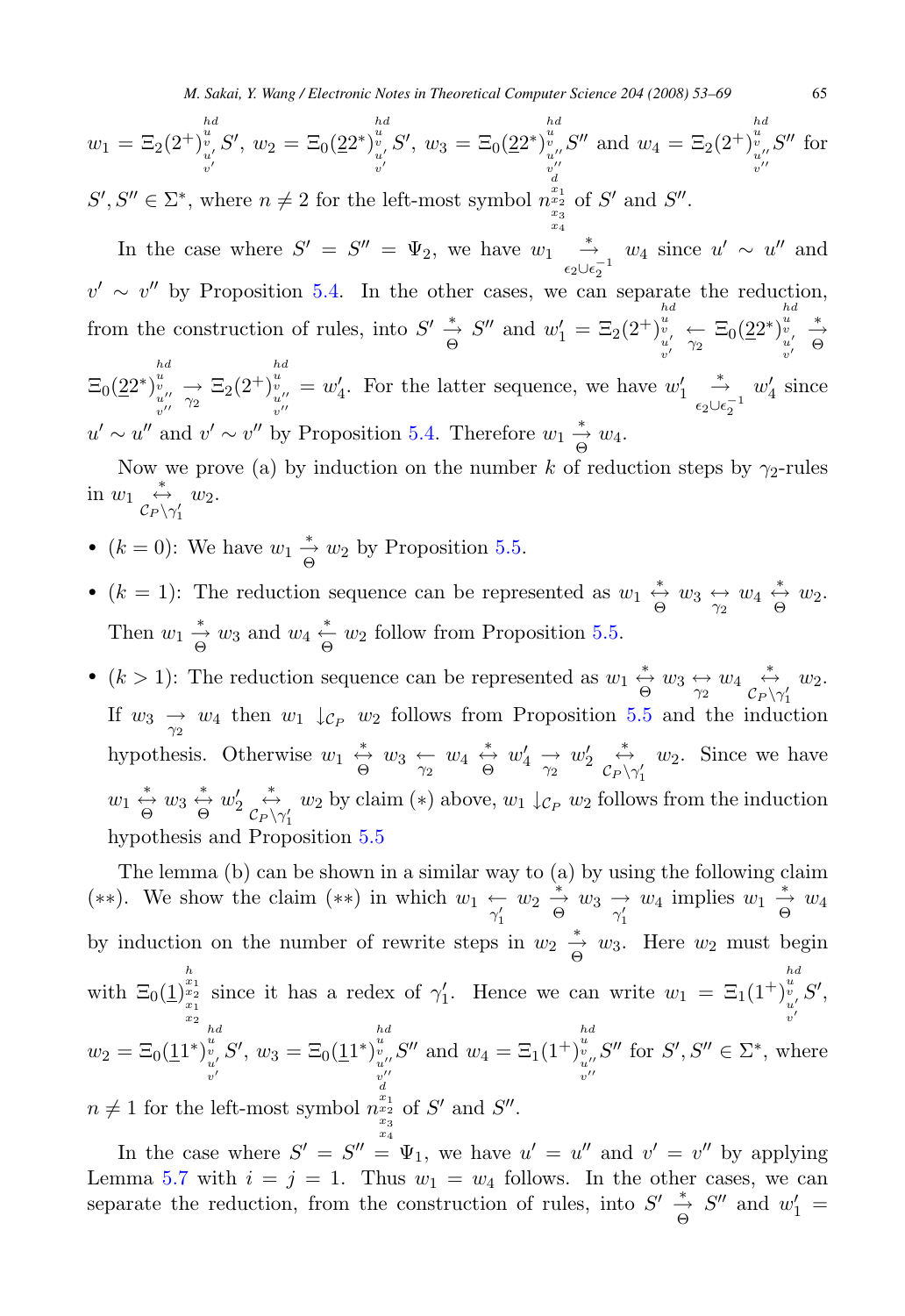$$
w_1 = \Xi_2(2^+)^{\frac{bd}{v}}_{\substack{u'\\v'}} S', w_2 = \Xi_0(2^+)^{\frac{bd}{v}}_{\substack{u'\\v'}} S', w_3 = \Xi_0(2^+)^{\frac{bd}{v}}_{\substack{v''\\v''\\d'}} S'' \text{ and } w_4 = \Xi_2(2^+)^{\frac{bd}{v}}_{\substack{u''\\v''\\v''}} S'' \text{ for }
$$
  

$$
S' \subset \mathbb{R}^* \text{ where } n \neq 2 \text{ for the left most symbol } \mathbb{R}^{\frac{nd}{n^2}} \text{ of } S' \text{ and } S''
$$

 $S', S'' \in \Sigma^*$ , where  $n \neq 2$  for the left-most symbol  $n_{\substack{x_2\\x_3\\x_4}}^{x_1}$ of  $S'$  and  $S''$ .

In the case where  $S' = S'' = \Psi_2$ , we have  $w_1 \stackrel{*}{\underset{\epsilon_2 \cup \epsilon_2^{-1}}{\rightarrow}} w_4$  since  $u' \sim u''$  and  $v' \sim v''$  by Proposition [5.4.](#page-9-0) In the other cases, we can separate the reduction, from the construction of rules, into  $S' \stackrel{*}{\underset{\Theta}{\to}} S''$  and  $w'_1 = \Xi_2(2^+)$  $\begin{array}{c}\n\frac{u}{v} \\
\frac{v}{\gamma_2} \\
\frac{u'}{\gamma_2}\n\end{array} \in \Xi_0(22^*)$  $v'$   $v'$  $\begin{array}{ccc} hd & * \\ v & \rightarrow \\ u' & \Theta \end{array}$  $\Xi_0(22^*)$  $\begin{array}{l}\n\frac{u}{v} \\
\frac{u}{v'}\n\end{array}\n\rightarrow \Xi_2(2^+)$  $\begin{array}{c} h\,d\\ u\\ v\\ w^{\prime\prime} \end{array}$  $= w'_4$ . For the latter sequence, we have  $w'_1 \stackrel{*}{\underset{\epsilon_2 \cup \epsilon_2^{-1}}{\to}}$  $w'_4$  since  $u' \sim u''$  and  $v' \sim v''$  by Proposition [5.4.](#page-9-0) Therefore  $w_1 \stackrel{*}{\rightarrow} w_4$ .

Now we prove (a) by induction on the number k of reduction steps by  $\gamma_2$ -rules in  $w_1 \underset{\mathcal{C}_P \setminus \gamma'_1}{\overset{*}{\leftrightarrow}} w_2.$ 1

- $(k = 0)$ : We have  $w_1 \stackrel{*}{\underset{\Theta}{\to}} w_2$  by Proposition [5.5.](#page-9-0)
- $(k = 1)$ : The reduction sequence can be represented as  $w_1 \stackrel{*}{\leftrightarrow} w_3 \stackrel{*}{\leftrightarrow} w_4 \stackrel{*}{\leftrightarrow} w_2$ . Then  $w_1 \stackrel{*}{\rightarrow} w_3$  and  $w_4 \stackrel{*}{\leftarrow} w_2$  follow from Proposition [5.5.](#page-9-0)
- $(k > 1)$ : The reduction sequence can be represented as  $w_1 \stackrel{*}{\leftrightarrow} w_3 \leftrightarrow w_4 \stackrel{*}{\leftrightarrow} w_2$ . If  $w_3 \rightarrow w_4$  then  $w_1 \downarrow_{\mathcal{C}_P} w_2$  follows from Proposition [5.5](#page-9-0) and the induction hypothesis. Otherwise  $w_1 \stackrel{*}{\leftrightarrow} w_3 \stackrel{*}{\leftarrow} w_4 \stackrel{*}{\leftrightarrow} w'_4 \stackrel{*}{\rightarrow} w'_2 \stackrel{*}{\leftrightarrow} v'_2$  $w_2$ . Since we have  $w_1 \stackrel{*}{\leftrightarrow} w_3 \stackrel{*}{\leftrightarrow} w_2' \stackrel{*}{\leftrightarrow} w_2$  by claim (\*) above,  $w_1 \downarrow_{\mathcal{C}_P} w_2$  follows from the induction hypothesis and Proposition [5.5](#page-9-0)

The lemma (b) can be shown in a similar way to (a) by using the following claim (\*\*). We show the claim (\*\*) in which  $w_1 \underset{\gamma'_1}{\leftarrow}$  $w_2 \stackrel{*}{\rightarrow} w_3 \rightarrow$ <br> $\frac{\rightarrow}{\gamma'_1}$  $w_4$  implies  $w_1 \stackrel{*}{\rightarrow} w_4$ by induction on the number of rewrite steps in  $w_2 \stackrel{*}{\rightarrow} w_3$ . Here  $w_2$  must begin with  $\Xi_0(\underline{1})_{\substack{x_1\\x_2}}^{x_1}$  since it has a redex of  $\gamma'_1$ . Hence we can write  $w_1 = \Xi_1(1^+)^{\frac{u}{v}}_{\frac{u'}{v'}}$ h  $\frac{1}{2}$ hd  $S',$  $w_2 = \Xi_0 (\underline{1} 1^*)^{\frac{hd}{u}}_{\frac{u'}{v'}}$  $S', w_3 = \Xi_0(\underline{1}1^*)_{\substack{u \atop w'' }{u''}}^{\substack{hd \atop hd'' }{u''}}$  $S''$  and  $w_4 = \Xi_1(1^+)^{u}_{u''}$  $S''$  for  $S', S'' \in \Sigma^*$ , where  $n \neq 1$  for the left-most symbol  $n_{x_3}^{x_1}$  of S' and S''. d

In the case where  $S' = S'' = \Psi_1$ , we have  $u' = u''$  and  $v' = v''$  by applying Lemma [5.7](#page-10-0) with  $i = j = 1$ . Thus  $w_1 = w_4$  follows. In the other cases, we can separate the reduction, from the construction of rules, into  $S' \stackrel{*}{\to} S''$  and  $w'_1 =$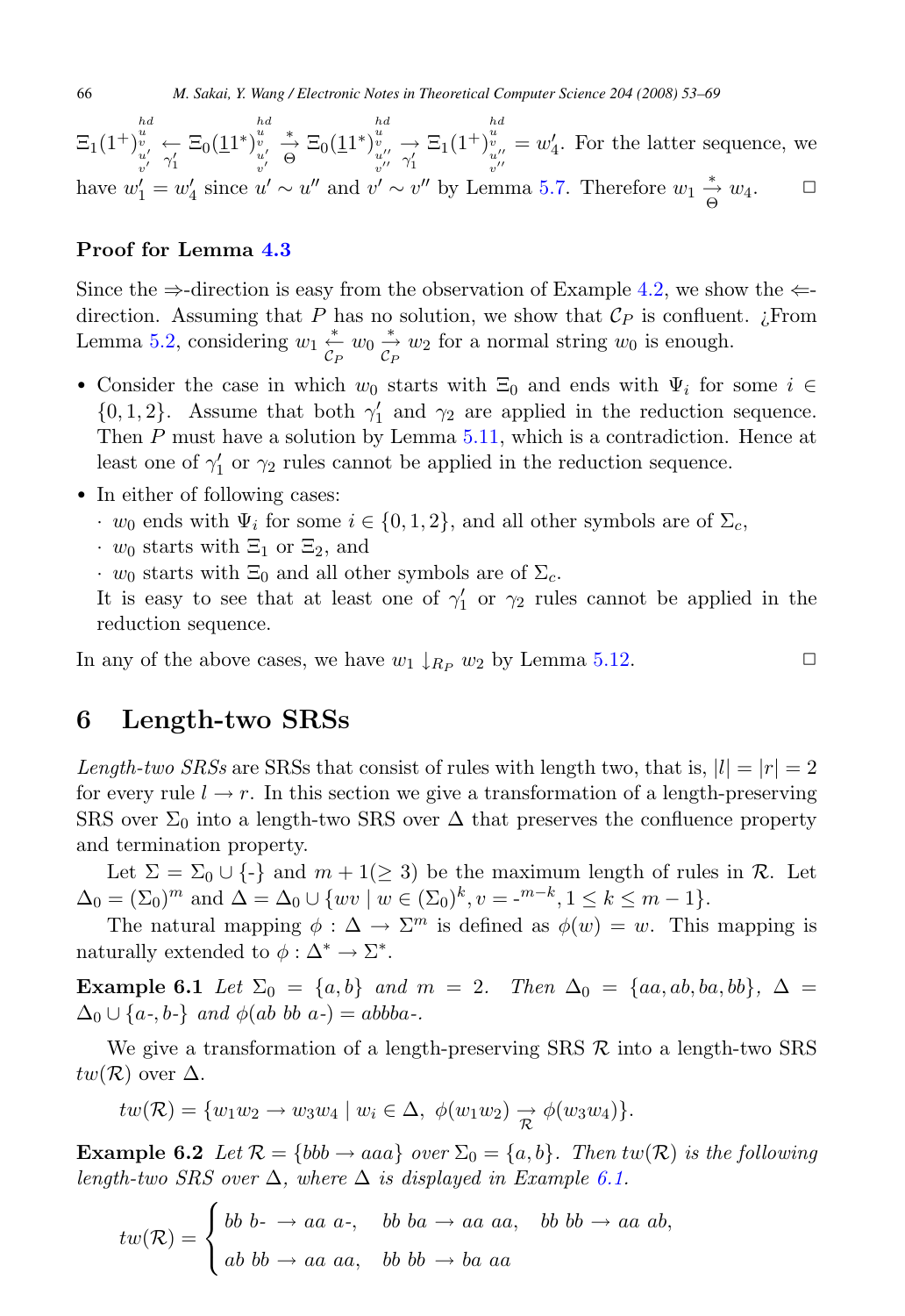$\Xi_1(1^+)$ hd u v u- v- ←γ- 1  $\Xi_0(\underline{1}1^*)$  $\begin{bmatrix} u \\ v \\ u' \\ v' \end{bmatrix}$  $\stackrel{*}{\rightarrow} \Xi_0(\underline{1}1^*)$  $\begin{array}{l}hd\ u\ v\ u^{\prime\prime}\ \gamma^{\prime}_{1} \end{array}$  $\Xi_1(1^+)$  $\begin{bmatrix} h \ d \ u \ v \ u^{\prime \prime} \ v^{\prime \prime} \end{bmatrix}$  $= w_4'$ . For the latter sequence, we have  $w'_1 = w'_4$  since  $u' \sim u''$  and  $v' \sim v''$  by Lemma [5.7.](#page-10-0) Therefore  $w_1 \stackrel{*}{\rightarrow} w_4$ .  $\Box$ 

#### **Proof for Lemma [4.3](#page-6-0)**

Since the  $\Rightarrow$ -direction is easy from the observation of Example [4.2,](#page-6-0) we show the  $\Leftarrow$ direction. Assuming that P has no solution, we show that  $\mathcal{C}_P$  is confluent. *i*. From Lemma [5.2,](#page-7-0) considering  $w_1 \xleftarrow{\ast} w_0 \xrightarrow{\ast} w_2$  for a normal string  $w_0$  is enough.

- Consider the case in which  $w_0$  starts with  $\Xi_0$  and ends with  $\Psi_i$  for some  $i \in$  ${0, 1, 2}$ . Assume that both  $\gamma'_1$  and  $\gamma_2$  are applied in the reduction sequence. Then  $P$  must have a solution by Lemma  $5.11$ , which is a contradiction. Hence at least one of  $\gamma'_1$  or  $\gamma_2$  rules cannot be applied in the reduction sequence.
- In either of following cases:
	- $\cdot w_0$  ends with  $\Psi_i$  for some  $i \in \{0, 1, 2\}$ , and all other symbols are of  $\Sigma_c$ ,
	- $\cdot w_0$  starts with  $\Xi_1$  or  $\Xi_2$ , and
	- $\cdot w_0$  starts with  $\Xi_0$  and all other symbols are of  $\Sigma_c$ .

It is easy to see that at least one of  $\gamma'_1$  or  $\gamma_2$  rules cannot be applied in the reduction sequence.

In any of the above cases, we have  $w_1 \downarrow_{R_P} w_2$  by Lemma [5.12.](#page-11-0)  $\Box$ 

### **6 Length-two SRSs**

Length-two SRSs are SRSs that consist of rules with length two, that is,  $|l| = |r| = 2$ for every rule  $l \to r$ . In this section we give a transformation of a length-preserving SRS over  $\Sigma_0$  into a length-two SRS over  $\Delta$  that preserves the confluence property and termination property.

Let  $\Sigma = \Sigma_0 \cup \{\cdot\}$  and  $m + 1(\geq 3)$  be the maximum length of rules in R. Let  $\Delta_0 = (\Sigma_0)^m$  and  $\Delta = \Delta_0 \cup \{ wv \mid w \in (\Sigma_0)^k, v = -^{m-k}, 1 \leq k \leq m-1 \}.$ 

The natural mapping  $\phi : \Delta \to \Sigma^m$  is defined as  $\phi(w) = w$ . This mapping is naturally extended to  $\phi : \Delta^* \to \Sigma^*$ .

**Example 6.1** Let  $\Sigma_0 = \{a, b\}$  and  $m = 2$ . Then  $\Delta_0 = \{aa, ab, ba, bb\}$ ,  $\Delta =$  $\Delta_0 \cup \{a-, b\}$  and  $\phi(ab \; bb \; a-) = abbba-$ .

We give a transformation of a length-preserving  $SRS \mathcal{R}$  into a length-two  $SRS$  $tw(\mathcal{R})$  over  $\Delta$ .

$$
tw(\mathcal{R}) = \{w_1w_2 \rightarrow w_3w_4 \mid w_i \in \Delta, \phi(w_1w_2) \rightarrow \phi(w_3w_4)\}.
$$

**Example 6.2** Let  $\mathcal{R} = \{bbb \rightarrow aaa\}$  over  $\Sigma_0 = \{a, b\}$ . Then tw( $\mathcal{R}$ ) is the following length-two SRS over  $\Delta$ , where  $\Delta$  is displayed in Example 6.1.

$$
tw(\mathcal{R}) = \begin{cases} bb \ b- \rightarrow aa \ a-, & bb \ ba \rightarrow aa \ aa, & bb \ bb \rightarrow aa \ ab, \\ ab \ bb \rightarrow aa \ aa, & bb \ bb \rightarrow ba \ aa \end{cases}
$$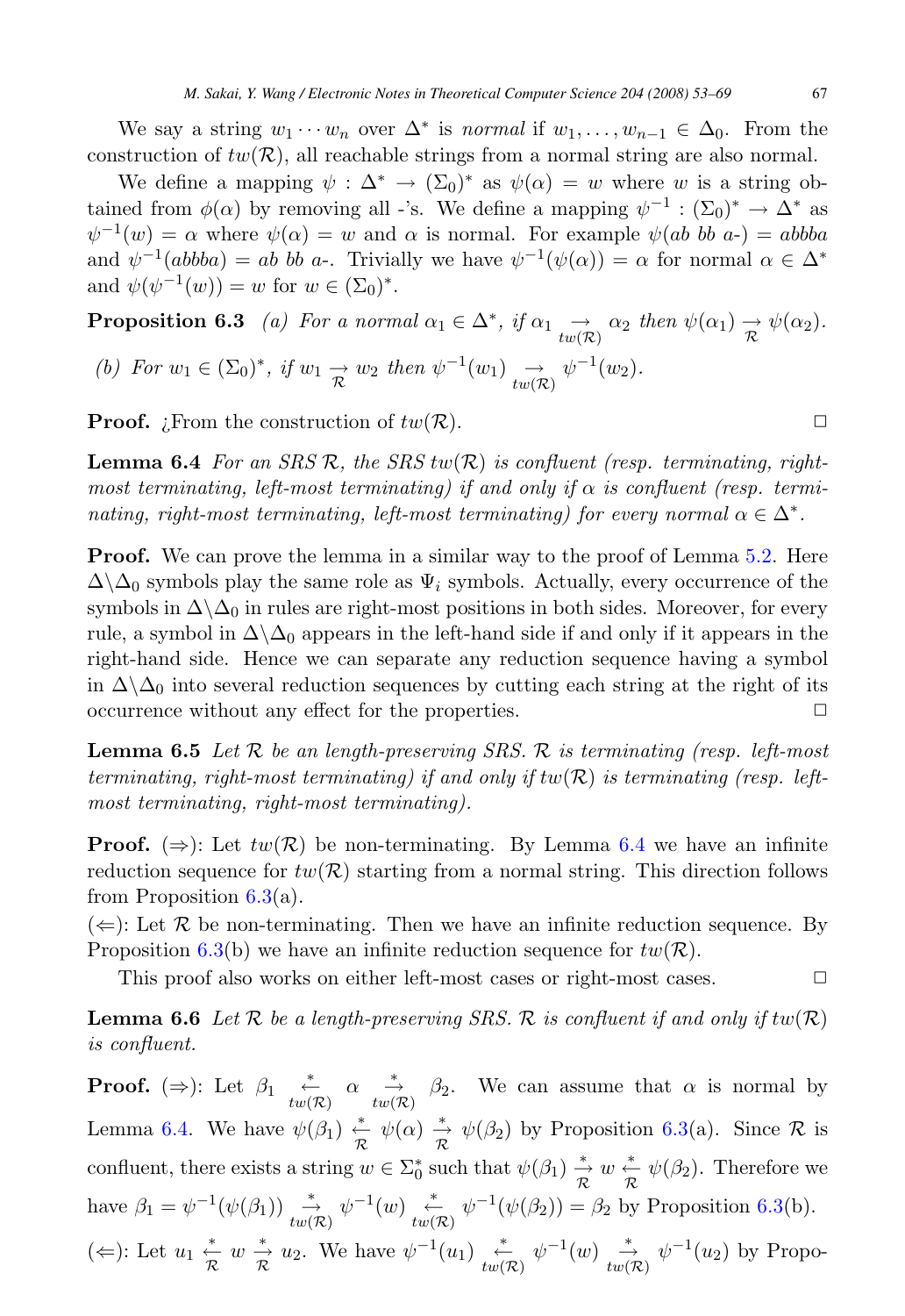<span id="page-14-0"></span>We say a string  $w_1 \cdots w_n$  over  $\Delta^*$  is normal if  $w_1, \ldots, w_{n-1} \in \Delta_0$ . From the construction of  $tw(\mathcal{R})$ , all reachable strings from a normal string are also normal.

We define a mapping  $\psi : \Delta^* \to (\Sigma_0)^*$  as  $\psi(\alpha) = w$  where w is a string obtained from  $\phi(\alpha)$  by removing all -'s. We define a mapping  $\psi^{-1} : (\Sigma_0)^* \to \Delta^*$  as  $\psi^{-1}(w) = \alpha$  where  $\psi(\alpha) = w$  and  $\alpha$  is normal. For example  $\psi(ab \; bb \; a<sub>-</sub>) = abbba$ and  $\psi^{-1}(ab bba) = ab bb a$ . Trivially we have  $\psi^{-1}(\psi(\alpha)) = \alpha$  for normal  $\alpha \in \Delta^*$ and  $\psi(\psi^{-1}(w)) = w$  for  $w \in (\Sigma_0)^*$ .

**Proposition 6.3** (a) For a normal 
$$
\alpha_1 \in \Delta^*
$$
, if  $\alpha_1 \xrightarrow{d} \alpha_2$  then  $\psi(\alpha_1) \xrightarrow{\rightarrow} \psi(\alpha_2)$ .  
\n(b) For  $w_1 \in (\Sigma_0)^*$ , if  $w_1 \xrightarrow{\rightarrow} w_2$  then  $\psi^{-1}(w_1) \xrightarrow{d} \psi^{-1}(w_2)$ .

**Proof.** *i*. From the construction of  $tw(R)$ .

**Lemma 6.4** For an SRS R, the SRS  $tw(R)$  is confluent (resp. terminating, rightmost terminating, left-most terminating) if and only if  $\alpha$  is confluent (resp. terminating, right-most terminating, left-most terminating) for every normal  $\alpha \in \Delta^*$ .

**Proof.** We can prove the lemma in a similar way to the proof of Lemma [5.2.](#page-7-0) Here  $\Delta\Delta_0$  symbols play the same role as  $\Psi_i$  symbols. Actually, every occurrence of the symbols in  $\Delta\setminus\Delta_0$  in rules are right-most positions in both sides. Moreover, for every rule, a symbol in  $\Delta \Delta_0$  appears in the left-hand side if and only if it appears in the right-hand side. Hence we can separate any reduction sequence having a symbol in  $\Delta\setminus\Delta_0$  into several reduction sequences by cutting each string at the right of its occurrence without any effect for the properties. occurrence without any effect for the properties.

**Lemma 6.5** Let  $\mathcal{R}$  be an length-preserving SRS.  $\mathcal{R}$  is terminating (resp. left-most terminating, right-most terminating) if and only if  $tw(R)$  is terminating (resp. leftmost terminating, right-most terminating).

**Proof.** ( $\Rightarrow$ ): Let  $tw(R)$  be non-terminating. By Lemma 6.4 we have an infinite reduction sequence for  $tw(R)$  starting from a normal string. This direction follows from Proposition  $6.3(a)$ .

 $(\Leftarrow)$ : Let R be non-terminating. Then we have an infinite reduction sequence. By Proposition 6.3(b) we have an infinite reduction sequence for  $tw(\mathcal{R})$ .

This proof also works on either left-most cases or right-most cases.  $\Box$ 

**Lemma 6.6** Let  $\mathcal R$  be a length-preserving SRS.  $\mathcal R$  is confluent if and only if  $tw(\mathcal R)$ is confluent.

**Proof.** ( $\Rightarrow$ ): Let  $\beta_1 \stackrel{*}{\leftarrow} w(\mathcal{R}) \alpha \stackrel{*}{\rightarrow} \beta_2$ . We can assume that  $\alpha$  is normal by Lemma 6.4. We have  $\psi(\beta_1) \stackrel{*}{\underset{\mathcal{R}}{\leftarrow}} \psi(\alpha) \stackrel{*}{\underset{\mathcal{R}}{\rightarrow}} \psi(\beta_2)$  by Proposition 6.3(a). Since  $\mathcal{R}$  is confluent, there exists a string  $w \in \Sigma_0^*$  such that  $\psi(\beta_1) \stackrel{*}{\underset{\mathcal{R}}{\rightarrow}} w \stackrel{*}{\underset{\mathcal{R}}{\rightarrow}} \psi(\beta_2)$ . Therefore we have  $\beta_1 = \psi^{-1}(\psi(\beta_1)) \stackrel{*}{\longrightarrow} \psi^{-1}(w) \stackrel{*}{\longleftarrow} \psi^{-1}(\psi(\beta_2)) = \beta_2$  by Proposition 6.3(b). (←): Let  $u_1 \stackrel{*}{\underset{\mathcal{R}}{\rightleftharpoons}} w \stackrel{*}{\underset{\mathcal{R}}{\rightleftharpoons}} u_2$ . We have  $\psi^{-1}(u_1) \stackrel{*}{\underset{tw(\mathcal{R})}{\rightleftharpoons}} \psi^{-1}(w) \stackrel{*}{\underset{tw(\mathcal{R})}{\rightleftharpoons}} \psi^{-1}(u_2)$  by Propo-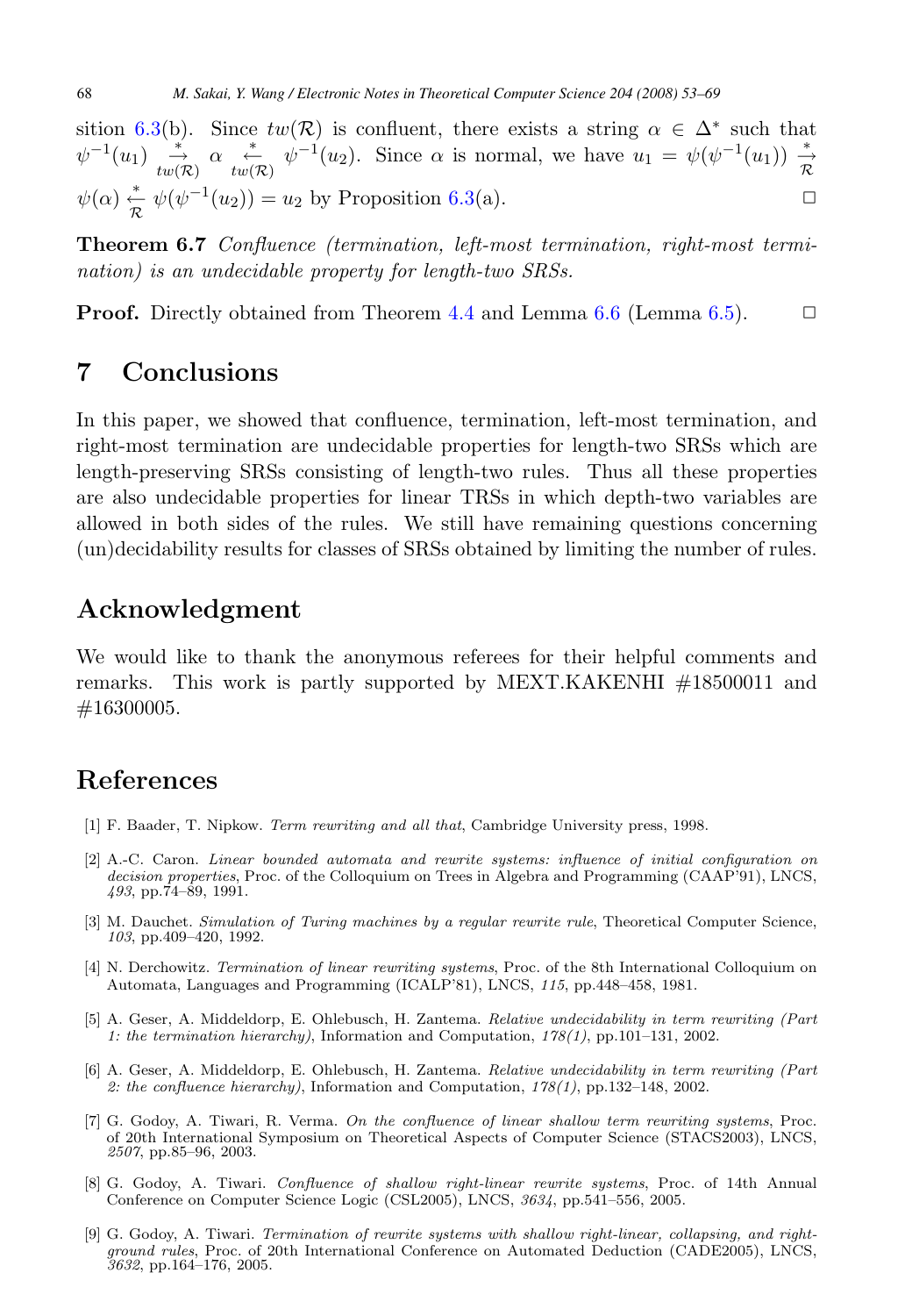<span id="page-15-0"></span>sition [6.3\(](#page-14-0)b). Since  $tw(\mathcal{R})$  is confluent, there exists a string  $\alpha \in \Delta^*$  such that  $\psi^{-1}(u_1) \stackrel{*}{\to} \alpha \stackrel{*}{\to} u(\mathcal{R}) \psi^{-1}(u_2)$ . Since  $\alpha$  is normal, we have  $u_1 = \psi(\psi^{-1}(u_1)) \stackrel{*}{\to} u(\mathcal{R})$  $\psi(\alpha) \stackrel{*}{\leftarrow} \psi(\psi^{-1}(u_2)) = u_2$  by Proposition [6.3\(](#page-14-0)a).

**Theorem 6.7** Confluence (termination, left-most termination, right-most termination) is an undecidable property for length-two SRSs.

**Proof.** Directly obtained from Theorem [4.4](#page-6-0) and Lemma [6.6](#page-14-0) (Lemma [6.5\)](#page-14-0).  $\Box$ 

# **7 Conclusions**

In this paper, we showed that confluence, termination, left-most termination, and right-most termination are undecidable properties for length-two SRSs which are length-preserving SRSs consisting of length-two rules. Thus all these properties are also undecidable properties for linear TRSs in which depth-two variables are allowed in both sides of the rules. We still have remaining questions concerning (un)decidability results for classes of SRSs obtained by limiting the number of rules.

### **Acknowledgment**

We would like to thank the anonymous referees for their helpful comments and remarks. This work is partly supported by MEXT.KAKENHI #18500011 and #16300005.

### **References**

- [1] F. Baader, T. Nipkow. Term rewriting and all that, Cambridge University press, 1998.
- [2] A.-C. Caron. Linear bounded automata and rewrite systems: influence of initial configuration on decision properties, Proc. of the Colloquium on Trees in Algebra and Programming (CAAP'91), LNCS, 493, pp.74–89, 1991.
- [3] M. Dauchet. Simulation of Turing machines by a regular rewrite rule, Theoretical Computer Science, 103, pp.409–420, 1992.
- [4] N. Derchowitz. Termination of linear rewriting systems, Proc. of the 8th International Colloquium on Automata, Languages and Programming (ICALP'81), LNCS, 115, pp.448–458, 1981.
- [5] A. Geser, A. Middeldorp, E. Ohlebusch, H. Zantema. Relative undecidability in term rewriting (Part 1: the termination hierarchy), Information and Computation,  $178(1)$ , pp.101–131, 2002.
- [6] A. Geser, A. Middeldorp, E. Ohlebusch, H. Zantema. Relative undecidability in term rewriting (Part 2: the confluence hierarchy), Information and Computation,  $178(1)$ , pp.132–148, 2002.
- [7] G. Godoy, A. Tiwari, R. Verma. On the confluence of linear shallow term rewriting systems, Proc. of 20th International Symposium on Theoretical Aspects of Computer Science (STACS2003), LNCS, 2507, pp.85–96, 2003.
- [8] G. Godoy, A. Tiwari. Confluence of shallow right-linear rewrite systems, Proc. of 14th Annual Conference on Computer Science Logic (CSL2005), LNCS, 3634, pp.541–556, 2005.
- [9] G. Godoy, A. Tiwari. Termination of rewrite systems with shallow right-linear, collapsing, and rightground rules, Proc. of 20th International Conference on Automated Deduction (CADE2005), LNCS, 3632, pp.164–176, 2005.